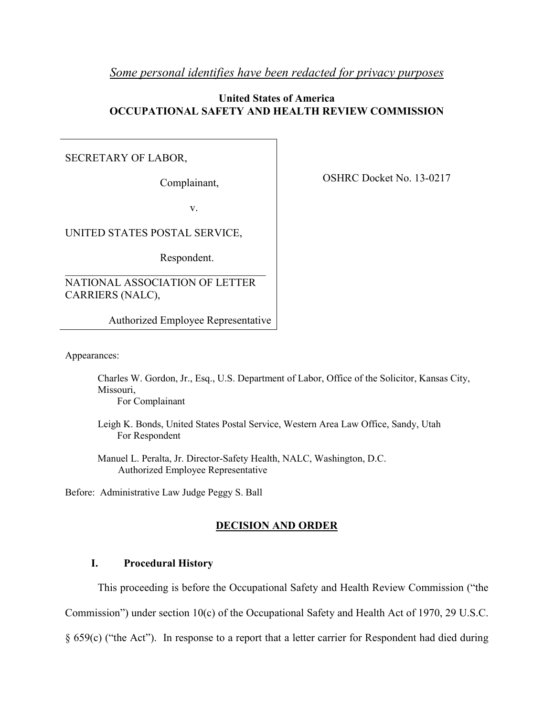# *Some personal identifies have been redacted for privacy purposes*

# **United States of America OCCUPATIONAL SAFETY AND HEALTH REVIEW COMMISSION**

# SECRETARY OF LABOR,

Complainant,

v.

UNITED STATES POSTAL SERVICE,

Respondent.

NATIONAL ASSOCIATION OF LETTER CARRIERS (NALC),

 $\mathcal{L}_\text{max}$  , and the set of the set of the set of the set of the set of the set of the set of the set of the set of the set of the set of the set of the set of the set of the set of the set of the set of the set of the

Authorized Employee Representative

Appearances:

Charles W. Gordon, Jr., Esq., U.S. Department of Labor, Office of the Solicitor, Kansas City, Missouri,

For Complainant

Leigh K. Bonds, United States Postal Service, Western Area Law Office, Sandy, Utah For Respondent

 Manuel L. Peralta, Jr. Director-Safety Health, NALC, Washington, D.C. Authorized Employee Representative

Before: Administrative Law Judge Peggy S. Ball

# **DECISION AND ORDER**

# **I. Procedural History**

This proceeding is before the Occupational Safety and Health Review Commission ("the

Commission") under section 10(c) of the Occupational Safety and Health Act of 1970, 29 U.S.C.

§ 659(c) ("the Act"). In response to a report that a letter carrier for Respondent had died during

OSHRC Docket No. 13-0217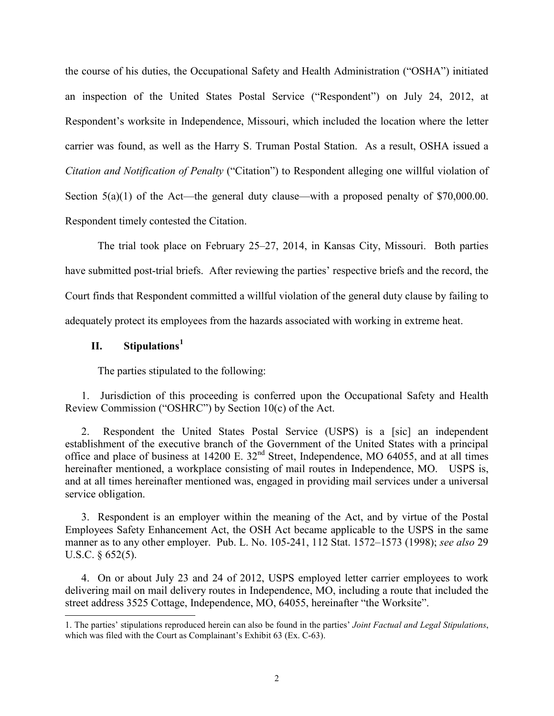the course of his duties, the Occupational Safety and Health Administration ("OSHA") initiated an inspection of the United States Postal Service ("Respondent") on July 24, 2012, at Respondent's worksite in Independence, Missouri, which included the location where the letter carrier was found, as well as the Harry S. Truman Postal Station. As a result, OSHA issued a *Citation and Notification of Penalty* ("Citation") to Respondent alleging one willful violation of Section  $5(a)(1)$  of the Act—the general duty clause—with a proposed penalty of \$70,000.00. Respondent timely contested the Citation.

The trial took place on February 25–27, 2014, in Kansas City, Missouri. Both parties have submitted post-trial briefs. After reviewing the parties' respective briefs and the record, the Court finds that Respondent committed a willful violation of the general duty clause by failing to adequately protect its employees from the hazards associated with working in extreme heat.

# **II. Stipulations[1](#page-1-0)**

The parties stipulated to the following:

1. Jurisdiction of this proceeding is conferred upon the Occupational Safety and Health Review Commission ("OSHRC") by Section 10(c) of the Act.

2. Respondent the United States Postal Service (USPS) is a [sic] an independent establishment of the executive branch of the Government of the United States with a principal office and place of business at 14200 E. 32nd Street, Independence, MO 64055, and at all times hereinafter mentioned, a workplace consisting of mail routes in Independence, MO. USPS is, and at all times hereinafter mentioned was, engaged in providing mail services under a universal service obligation.

3. Respondent is an employer within the meaning of the Act, and by virtue of the Postal Employees Safety Enhancement Act, the OSH Act became applicable to the USPS in the same manner as to any other employer. Pub. L. No. 105-241, 112 Stat. 1572–1573 (1998); *see also* 29 U.S.C. § 652(5).

4. On or about July 23 and 24 of 2012, USPS employed letter carrier employees to work delivering mail on mail delivery routes in Independence, MO, including a route that included the street address 3525 Cottage, Independence, MO, 64055, hereinafter "the Worksite".

<span id="page-1-0"></span><sup>1.</sup> The parties' stipulations reproduced herein can also be found in the parties' *Joint Factual and Legal Stipulations*, which was filed with the Court as Complainant's Exhibit 63 (Ex. C-63).  $\overline{a}$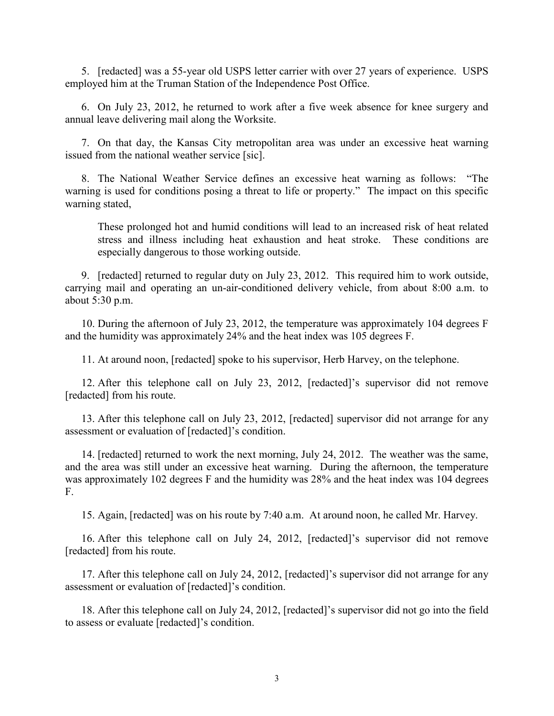5. [redacted] was a 55-year old USPS letter carrier with over 27 years of experience. USPS employed him at the Truman Station of the Independence Post Office.

6. On July 23, 2012, he returned to work after a five week absence for knee surgery and annual leave delivering mail along the Worksite.

7. On that day, the Kansas City metropolitan area was under an excessive heat warning issued from the national weather service [sic].

8. The National Weather Service defines an excessive heat warning as follows: "The warning is used for conditions posing a threat to life or property." The impact on this specific warning stated,

These prolonged hot and humid conditions will lead to an increased risk of heat related stress and illness including heat exhaustion and heat stroke. These conditions are especially dangerous to those working outside.

9. [redacted] returned to regular duty on July 23, 2012. This required him to work outside, carrying mail and operating an un-air-conditioned delivery vehicle, from about 8:00 a.m. to about 5:30 p.m.

10. During the afternoon of July 23, 2012, the temperature was approximately 104 degrees F and the humidity was approximately 24% and the heat index was 105 degrees F.

11. At around noon, [redacted] spoke to his supervisor, Herb Harvey, on the telephone.

12. After this telephone call on July 23, 2012, [redacted]'s supervisor did not remove [redacted] from his route.

13. After this telephone call on July 23, 2012, [redacted] supervisor did not arrange for any assessment or evaluation of [redacted]'s condition.

14. [redacted] returned to work the next morning, July 24, 2012. The weather was the same, and the area was still under an excessive heat warning. During the afternoon, the temperature was approximately 102 degrees F and the humidity was 28% and the heat index was 104 degrees F.

15. Again, [redacted] was on his route by 7:40 a.m. At around noon, he called Mr. Harvey.

16. After this telephone call on July 24, 2012, [redacted]'s supervisor did not remove [redacted] from his route.

17. After this telephone call on July 24, 2012, [redacted]'s supervisor did not arrange for any assessment or evaluation of [redacted]'s condition.

18. After this telephone call on July 24, 2012, [redacted]'s supervisor did not go into the field to assess or evaluate [redacted]'s condition.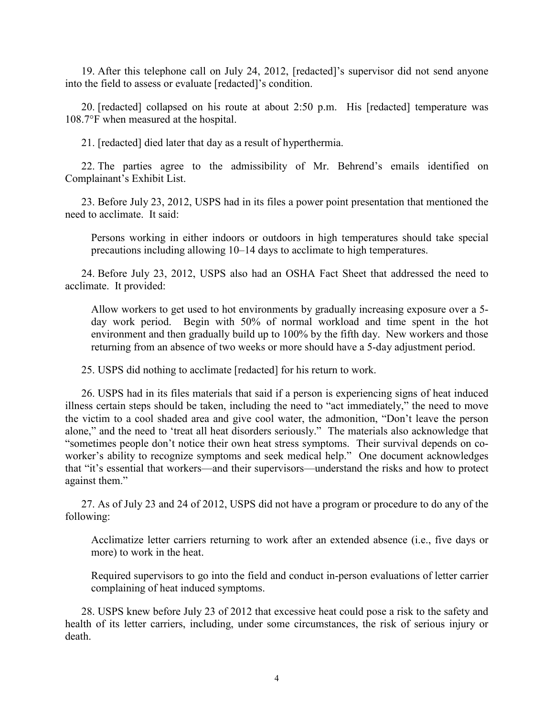19. After this telephone call on July 24, 2012, [redacted]'s supervisor did not send anyone into the field to assess or evaluate [redacted]'s condition.

20. [redacted] collapsed on his route at about 2:50 p.m. His [redacted] temperature was 108.7°F when measured at the hospital.

21. [redacted] died later that day as a result of hyperthermia.

22. The parties agree to the admissibility of Mr. Behrend's emails identified on Complainant's Exhibit List.

23. Before July 23, 2012, USPS had in its files a power point presentation that mentioned the need to acclimate. It said:

Persons working in either indoors or outdoors in high temperatures should take special precautions including allowing 10–14 days to acclimate to high temperatures.

24. Before July 23, 2012, USPS also had an OSHA Fact Sheet that addressed the need to acclimate. It provided:

Allow workers to get used to hot environments by gradually increasing exposure over a 5 day work period. Begin with 50% of normal workload and time spent in the hot environment and then gradually build up to 100% by the fifth day. New workers and those returning from an absence of two weeks or more should have a 5-day adjustment period.

25. USPS did nothing to acclimate [redacted] for his return to work.

26. USPS had in its files materials that said if a person is experiencing signs of heat induced illness certain steps should be taken, including the need to "act immediately," the need to move the victim to a cool shaded area and give cool water, the admonition, "Don't leave the person alone," and the need to 'treat all heat disorders seriously." The materials also acknowledge that "sometimes people don't notice their own heat stress symptoms. Their survival depends on coworker's ability to recognize symptoms and seek medical help." One document acknowledges that "it's essential that workers—and their supervisors—understand the risks and how to protect against them."

27. As of July 23 and 24 of 2012, USPS did not have a program or procedure to do any of the following:

Acclimatize letter carriers returning to work after an extended absence (i.e., five days or more) to work in the heat.

Required supervisors to go into the field and conduct in-person evaluations of letter carrier complaining of heat induced symptoms.

28. USPS knew before July 23 of 2012 that excessive heat could pose a risk to the safety and health of its letter carriers, including, under some circumstances, the risk of serious injury or death.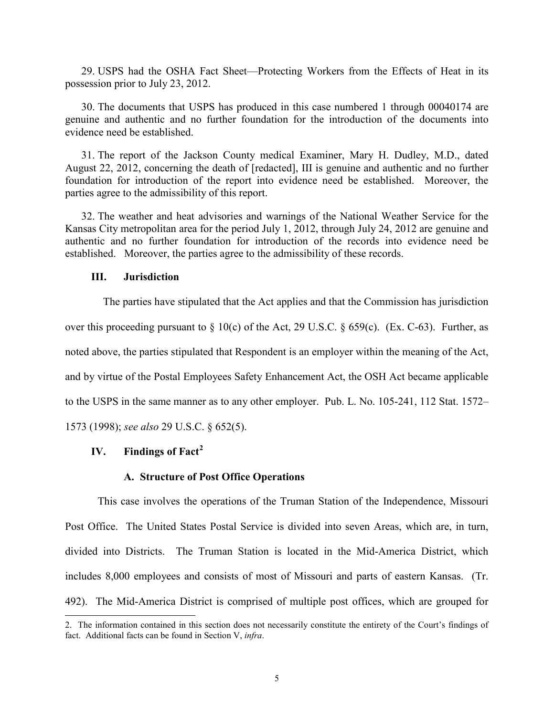29. USPS had the OSHA Fact Sheet—Protecting Workers from the Effects of Heat in its possession prior to July 23, 2012.

30. The documents that USPS has produced in this case numbered 1 through 00040174 are genuine and authentic and no further foundation for the introduction of the documents into evidence need be established.

31. The report of the Jackson County medical Examiner, Mary H. Dudley, M.D., dated August 22, 2012, concerning the death of [redacted], III is genuine and authentic and no further foundation for introduction of the report into evidence need be established. Moreover, the parties agree to the admissibility of this report.

32. The weather and heat advisories and warnings of the National Weather Service for the Kansas City metropolitan area for the period July 1, 2012, through July 24, 2012 are genuine and authentic and no further foundation for introduction of the records into evidence need be established. Moreover, the parties agree to the admissibility of these records.

#### **III. Jurisdiction**

 The parties have stipulated that the Act applies and that the Commission has jurisdiction over this proceeding pursuant to § 10(c) of the Act, 29 U.S.C. § 659(c). (Ex. C-63). Further, as noted above, the parties stipulated that Respondent is an employer within the meaning of the Act, and by virtue of the Postal Employees Safety Enhancement Act, the OSH Act became applicable to the USPS in the same manner as to any other employer. Pub. L. No. 105-241, 112 Stat. 1572– 1573 (1998); *see also* 29 U.S.C. § 652(5).

# **IV. Findings of Fact[2](#page-4-0)**

 $\overline{a}$ 

#### **A. Structure of Post Office Operations**

This case involves the operations of the Truman Station of the Independence, Missouri Post Office. The United States Postal Service is divided into seven Areas, which are, in turn, divided into Districts. The Truman Station is located in the Mid-America District, which includes 8,000 employees and consists of most of Missouri and parts of eastern Kansas. (Tr. 492). The Mid-America District is comprised of multiple post offices, which are grouped for

<span id="page-4-0"></span><sup>2.</sup> The information contained in this section does not necessarily constitute the entirety of the Court's findings of fact. Additional facts can be found in Section V, *infra*.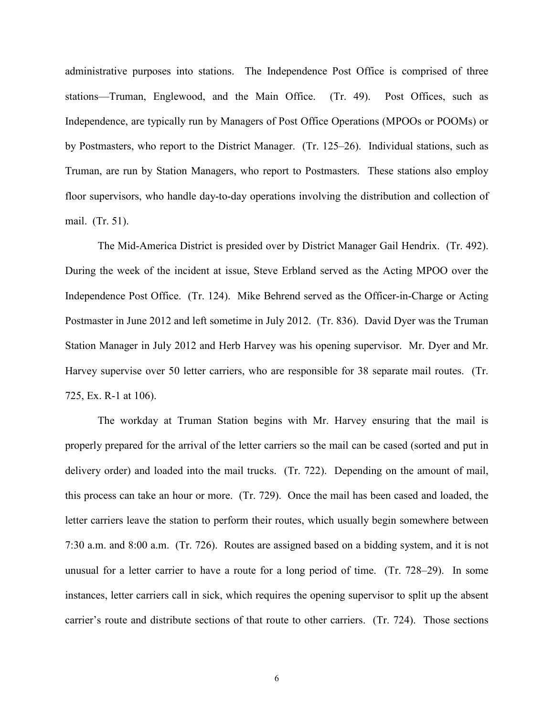administrative purposes into stations. The Independence Post Office is comprised of three stations—Truman, Englewood, and the Main Office. (Tr. 49). Post Offices, such as Independence, are typically run by Managers of Post Office Operations (MPOOs or POOMs) or by Postmasters, who report to the District Manager. (Tr. 125–26). Individual stations, such as Truman, are run by Station Managers, who report to Postmasters. These stations also employ floor supervisors, who handle day-to-day operations involving the distribution and collection of mail. (Tr. 51).

The Mid-America District is presided over by District Manager Gail Hendrix. (Tr. 492). During the week of the incident at issue, Steve Erbland served as the Acting MPOO over the Independence Post Office. (Tr. 124). Mike Behrend served as the Officer-in-Charge or Acting Postmaster in June 2012 and left sometime in July 2012. (Tr. 836). David Dyer was the Truman Station Manager in July 2012 and Herb Harvey was his opening supervisor. Mr. Dyer and Mr. Harvey supervise over 50 letter carriers, who are responsible for 38 separate mail routes. (Tr. 725, Ex. R-1 at 106).

The workday at Truman Station begins with Mr. Harvey ensuring that the mail is properly prepared for the arrival of the letter carriers so the mail can be cased (sorted and put in delivery order) and loaded into the mail trucks. (Tr. 722). Depending on the amount of mail, this process can take an hour or more. (Tr. 729). Once the mail has been cased and loaded, the letter carriers leave the station to perform their routes, which usually begin somewhere between 7:30 a.m. and 8:00 a.m. (Tr. 726). Routes are assigned based on a bidding system, and it is not unusual for a letter carrier to have a route for a long period of time. (Tr. 728–29). In some instances, letter carriers call in sick, which requires the opening supervisor to split up the absent carrier's route and distribute sections of that route to other carriers. (Tr. 724). Those sections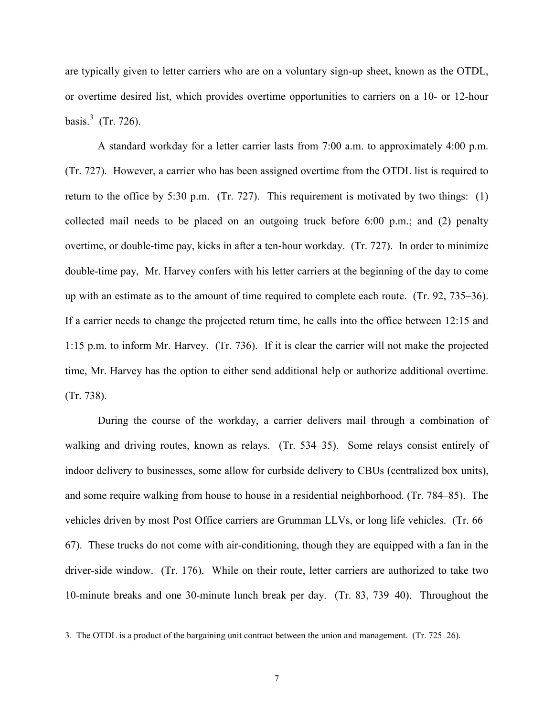are typically given to letter carriers who are on a voluntary sign-up sheet, known as the OTDL, or overtime desired list, which provides overtime opportunities to carriers on a 10- or 12-hour basis. $3$  (Tr. 726).

A standard workday for a letter carrier lasts from 7:00 a.m. to approximately 4:00 p.m. (Tr. 727). However, a carrier who has been assigned overtime from the OTDL list is required to return to the office by 5:30 p.m. (Tr. 727). This requirement is motivated by two things: (1) collected mail needs to be placed on an outgoing truck before 6:00 p.m.; and (2) penalty overtime, or double-time pay, kicks in after a ten-hour workday. (Tr. 727). In order to minimize double-time pay, Mr. Harvey confers with his letter carriers at the beginning of the day to come up with an estimate as to the amount of time required to complete each route. (Tr. 92, 735–36). If a carrier needs to change the projected return time, he calls into the office between 12:15 and 1:15 p.m. to inform Mr. Harvey. (Tr. 736). If it is clear the carrier will not make the projected time, Mr. Harvey has the option to either send additional help or authorize additional overtime. (Tr. 738).

During the course of the workday, a carrier delivers mail through a combination of walking and driving routes, known as relays. (Tr. 534–35). Some relays consist entirely of indoor delivery to businesses, some allow for curbside delivery to CBUs (centralized box units), and some require walking from house to house in a residential neighborhood. (Tr. 784–85). The vehicles driven by most Post Office carriers are Grumman LLVs, or long life vehicles. (Tr. 66– 67). These trucks do not come with air-conditioning, though they are equipped with a fan in the driver-side window. (Tr. 176). While on their route, letter carriers are authorized to take two 10-minute breaks and one 30-minute lunch break per day. (Tr. 83, 739–40). Throughout the

 $\overline{a}$ 

<span id="page-6-0"></span><sup>3.</sup> The OTDL is a product of the bargaining unit contract between the union and management. (Tr. 725–26).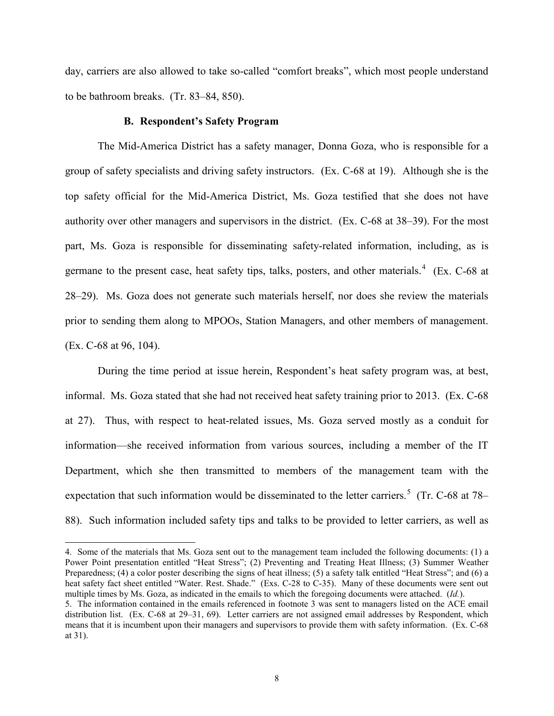day, carriers are also allowed to take so-called "comfort breaks", which most people understand to be bathroom breaks. (Tr. 83–84, 850).

#### **B. Respondent's Safety Program**

The Mid-America District has a safety manager, Donna Goza, who is responsible for a group of safety specialists and driving safety instructors. (Ex. C-68 at 19). Although she is the top safety official for the Mid-America District, Ms. Goza testified that she does not have authority over other managers and supervisors in the district. (Ex. C-68 at 38–39). For the most part, Ms. Goza is responsible for disseminating safety-related information, including, as is germane to the present case, heat safety tips, talks, posters, and other materials. $4$  (Ex. C-68 at 28–29). Ms. Goza does not generate such materials herself, nor does she review the materials prior to sending them along to MPOOs, Station Managers, and other members of management. (Ex. C-68 at 96, 104).

During the time period at issue herein, Respondent's heat safety program was, at best, informal. Ms. Goza stated that she had not received heat safety training prior to 2013. (Ex. C-68 at 27). Thus, with respect to heat-related issues, Ms. Goza served mostly as a conduit for information—she received information from various sources, including a member of the IT Department, which she then transmitted to members of the management team with the expectation that such information would be disseminated to the letter carriers.<sup>[5](#page-7-1)</sup> (Tr. C-68 at 78– 88). Such information included safety tips and talks to be provided to letter carriers, as well as

 $\overline{a}$ 

<span id="page-7-0"></span><sup>4.</sup> Some of the materials that Ms. Goza sent out to the management team included the following documents: (1) a Power Point presentation entitled "Heat Stress"; (2) Preventing and Treating Heat Illness; (3) Summer Weather Preparedness; (4) a color poster describing the signs of heat illness; (5) a safety talk entitled "Heat Stress"; and (6) a heat safety fact sheet entitled "Water. Rest. Shade." (Exs. C-28 to C-35). Many of these documents were sent out multiple times by Ms. Goza, as indicated in the emails to which the foregoing documents were attached. (*Id.*). 5. The information contained in the emails referenced in footnote 3 was sent to managers listed on the ACE email

<span id="page-7-1"></span>distribution list. (Ex. C-68 at 29–31, 69). Letter carriers are not assigned email addresses by Respondent, which means that it is incumbent upon their managers and supervisors to provide them with safety information. (Ex. C-68 at 31).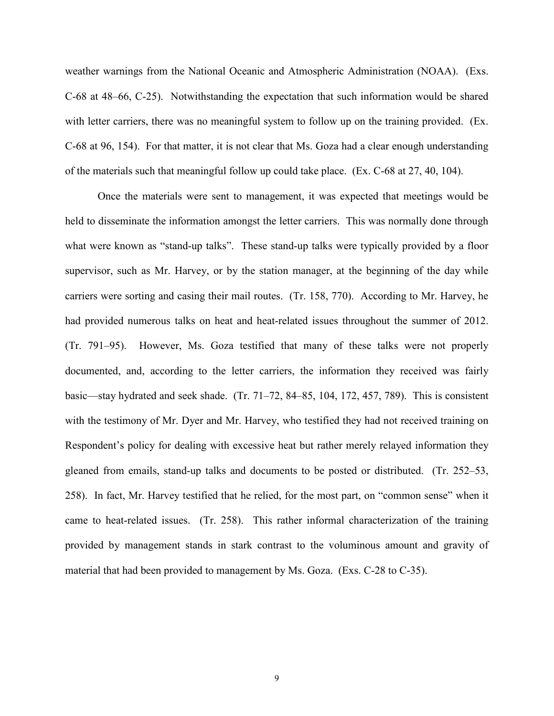weather warnings from the National Oceanic and Atmospheric Administration (NOAA). (Exs. C-68 at 48–66, C-25). Notwithstanding the expectation that such information would be shared with letter carriers, there was no meaningful system to follow up on the training provided. (Ex. C-68 at 96, 154). For that matter, it is not clear that Ms. Goza had a clear enough understanding of the materials such that meaningful follow up could take place. (Ex. C-68 at 27, 40, 104).

Once the materials were sent to management, it was expected that meetings would be held to disseminate the information amongst the letter carriers. This was normally done through what were known as "stand-up talks". These stand-up talks were typically provided by a floor supervisor, such as Mr. Harvey, or by the station manager, at the beginning of the day while carriers were sorting and casing their mail routes. (Tr. 158, 770). According to Mr. Harvey, he had provided numerous talks on heat and heat-related issues throughout the summer of 2012. (Tr. 791–95). However, Ms. Goza testified that many of these talks were not properly documented, and, according to the letter carriers, the information they received was fairly basic—stay hydrated and seek shade. (Tr. 71–72, 84–85, 104, 172, 457, 789). This is consistent with the testimony of Mr. Dyer and Mr. Harvey, who testified they had not received training on Respondent's policy for dealing with excessive heat but rather merely relayed information they gleaned from emails, stand-up talks and documents to be posted or distributed. (Tr. 252–53, 258). In fact, Mr. Harvey testified that he relied, for the most part, on "common sense" when it came to heat-related issues. (Tr. 258). This rather informal characterization of the training provided by management stands in stark contrast to the voluminous amount and gravity of material that had been provided to management by Ms. Goza. (Exs. C-28 to C-35).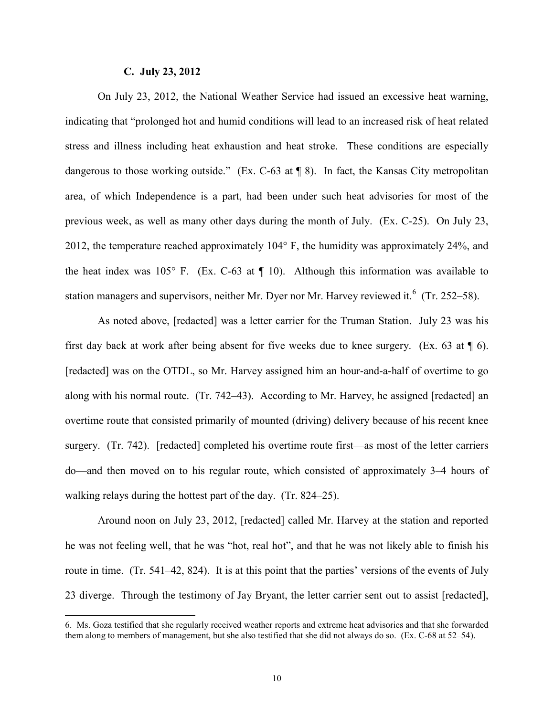#### **C. July 23, 2012**

 $\overline{a}$ 

On July 23, 2012, the National Weather Service had issued an excessive heat warning, indicating that "prolonged hot and humid conditions will lead to an increased risk of heat related stress and illness including heat exhaustion and heat stroke. These conditions are especially dangerous to those working outside." (Ex. C-63 at ¶ 8). In fact, the Kansas City metropolitan area, of which Independence is a part, had been under such heat advisories for most of the previous week, as well as many other days during the month of July. (Ex. C-25). On July 23, 2012, the temperature reached approximately 104° F, the humidity was approximately 24%, and the heat index was  $105^{\circ}$  F. (Ex. C-63 at  $\P$  10). Although this information was available to station managers and supervisors, neither Mr. Dyer nor Mr. Harvey reviewed it.<sup>[6](#page-9-0)</sup> (Tr. 252–58).

As noted above, [redacted] was a letter carrier for the Truman Station. July 23 was his first day back at work after being absent for five weeks due to knee surgery. (Ex. 63 at  $\P$  6). [redacted] was on the OTDL, so Mr. Harvey assigned him an hour-and-a-half of overtime to go along with his normal route. (Tr. 742–43). According to Mr. Harvey, he assigned [redacted] an overtime route that consisted primarily of mounted (driving) delivery because of his recent knee surgery. (Tr. 742). [redacted] completed his overtime route first—as most of the letter carriers do—and then moved on to his regular route, which consisted of approximately 3–4 hours of walking relays during the hottest part of the day. (Tr. 824–25).

Around noon on July 23, 2012, [redacted] called Mr. Harvey at the station and reported he was not feeling well, that he was "hot, real hot", and that he was not likely able to finish his route in time. (Tr. 541–42, 824). It is at this point that the parties' versions of the events of July 23 diverge. Through the testimony of Jay Bryant, the letter carrier sent out to assist [redacted],

<span id="page-9-0"></span><sup>6.</sup> Ms. Goza testified that she regularly received weather reports and extreme heat advisories and that she forwarded them along to members of management, but she also testified that she did not always do so. (Ex. C-68 at 52–54).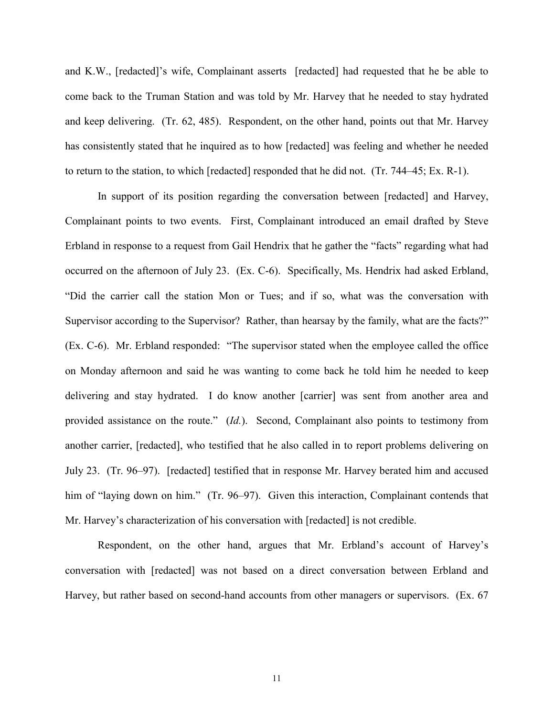and K.W., [redacted]'s wife, Complainant asserts [redacted] had requested that he be able to come back to the Truman Station and was told by Mr. Harvey that he needed to stay hydrated and keep delivering. (Tr. 62, 485). Respondent, on the other hand, points out that Mr. Harvey has consistently stated that he inquired as to how [redacted] was feeling and whether he needed to return to the station, to which [redacted] responded that he did not. (Tr. 744–45; Ex. R-1).

In support of its position regarding the conversation between [redacted] and Harvey, Complainant points to two events. First, Complainant introduced an email drafted by Steve Erbland in response to a request from Gail Hendrix that he gather the "facts" regarding what had occurred on the afternoon of July 23. (Ex. C-6). Specifically, Ms. Hendrix had asked Erbland, "Did the carrier call the station Mon or Tues; and if so, what was the conversation with Supervisor according to the Supervisor? Rather, than hearsay by the family, what are the facts?" (Ex. C-6). Mr. Erbland responded: "The supervisor stated when the employee called the office on Monday afternoon and said he was wanting to come back he told him he needed to keep delivering and stay hydrated. I do know another [carrier] was sent from another area and provided assistance on the route." (*Id.*). Second, Complainant also points to testimony from another carrier, [redacted], who testified that he also called in to report problems delivering on July 23. (Tr. 96–97). [redacted] testified that in response Mr. Harvey berated him and accused him of "laying down on him." (Tr. 96–97). Given this interaction, Complainant contends that Mr. Harvey's characterization of his conversation with [redacted] is not credible.

Respondent, on the other hand, argues that Mr. Erbland's account of Harvey's conversation with [redacted] was not based on a direct conversation between Erbland and Harvey, but rather based on second-hand accounts from other managers or supervisors. (Ex. 67

11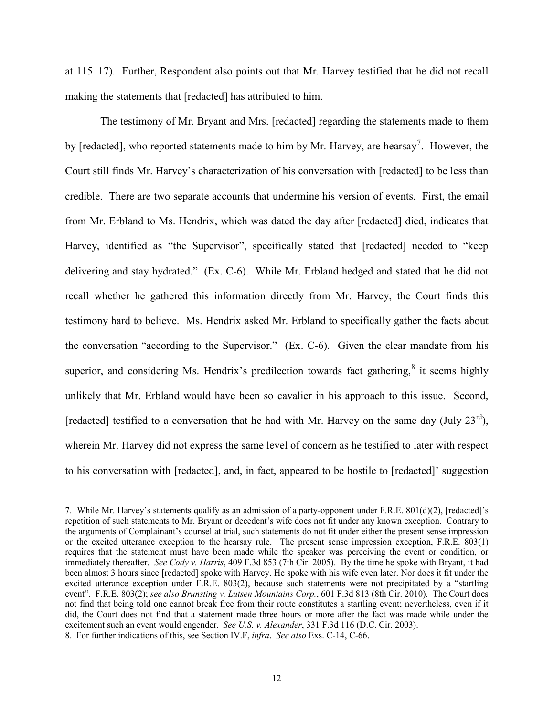at 115–17). Further, Respondent also points out that Mr. Harvey testified that he did not recall making the statements that [redacted] has attributed to him.

 The testimony of Mr. Bryant and Mrs. [redacted] regarding the statements made to them by [redacted], who reported statements made to him by Mr. Harvey, are hearsay<sup>[7](#page-11-0)</sup>. However, the Court still finds Mr. Harvey's characterization of his conversation with [redacted] to be less than credible. There are two separate accounts that undermine his version of events. First, the email from Mr. Erbland to Ms. Hendrix, which was dated the day after [redacted] died, indicates that Harvey, identified as "the Supervisor", specifically stated that [redacted] needed to "keep delivering and stay hydrated." (Ex. C-6). While Mr. Erbland hedged and stated that he did not recall whether he gathered this information directly from Mr. Harvey, the Court finds this testimony hard to believe. Ms. Hendrix asked Mr. Erbland to specifically gather the facts about the conversation "according to the Supervisor." (Ex. C-6). Given the clear mandate from his superior, and considering Ms. Hendrix's predilection towards fact gathering,<sup>[8](#page-11-1)</sup> it seems highly unlikely that Mr. Erbland would have been so cavalier in his approach to this issue. Second, [redacted] testified to a conversation that he had with Mr. Harvey on the same day (July  $23^{rd}$ ), wherein Mr. Harvey did not express the same level of concern as he testified to later with respect to his conversation with [redacted], and, in fact, appeared to be hostile to [redacted]' suggestion

 $\overline{a}$ 

<span id="page-11-1"></span><span id="page-11-0"></span><sup>7.</sup> While Mr. Harvey's statements qualify as an admission of a party-opponent under F.R.E. 801(d)(2), [redacted]'s repetition of such statements to Mr. Bryant or decedent's wife does not fit under any known exception. Contrary to the arguments of Complainant's counsel at trial, such statements do not fit under either the present sense impression or the excited utterance exception to the hearsay rule. The present sense impression exception, F.R.E. 803(1) requires that the statement must have been made while the speaker was perceiving the event or condition, or immediately thereafter. *See Cody v. Harris*, 409 F.3d 853 (7th Cir. 2005). By the time he spoke with Bryant, it had been almost 3 hours since [redacted] spoke with Harvey. He spoke with his wife even later. Nor does it fit under the excited utterance exception under F.R.E. 803(2), because such statements were not precipitated by a "startling event". F.R.E. 803(2); *see also Brunsting v. Lutsen Mountains Corp.*, 601 F.3d 813 (8th Cir. 2010). The Court does not find that being told one cannot break free from their route constitutes a startling event; nevertheless, even if it did, the Court does not find that a statement made three hours or more after the fact was made while under the excitement such an event would engender. *See U.S. v. Alexander*, 331 F.3d 116 (D.C. Cir. 2003). 8. For further indications of this, see Section IV.F, *infra*. *See also* Exs. C-14, C-66.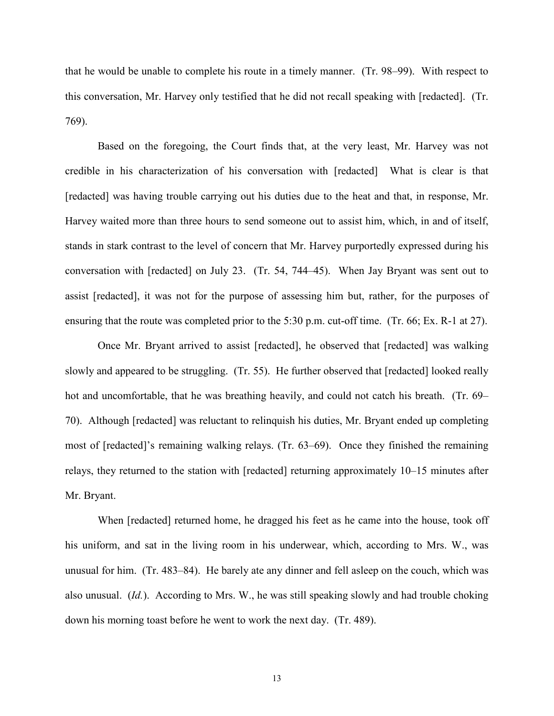that he would be unable to complete his route in a timely manner. (Tr. 98–99). With respect to this conversation, Mr. Harvey only testified that he did not recall speaking with [redacted]. (Tr. 769).

Based on the foregoing, the Court finds that, at the very least, Mr. Harvey was not credible in his characterization of his conversation with [redacted] What is clear is that [redacted] was having trouble carrying out his duties due to the heat and that, in response, Mr. Harvey waited more than three hours to send someone out to assist him, which, in and of itself, stands in stark contrast to the level of concern that Mr. Harvey purportedly expressed during his conversation with [redacted] on July 23. (Tr. 54, 744–45). When Jay Bryant was sent out to assist [redacted], it was not for the purpose of assessing him but, rather, for the purposes of ensuring that the route was completed prior to the 5:30 p.m. cut-off time. (Tr. 66; Ex. R-1 at 27).

Once Mr. Bryant arrived to assist [redacted], he observed that [redacted] was walking slowly and appeared to be struggling. (Tr. 55). He further observed that [redacted] looked really hot and uncomfortable, that he was breathing heavily, and could not catch his breath. (Tr. 69– 70). Although [redacted] was reluctant to relinquish his duties, Mr. Bryant ended up completing most of [redacted]'s remaining walking relays. (Tr. 63–69). Once they finished the remaining relays, they returned to the station with [redacted] returning approximately 10–15 minutes after Mr. Bryant.

When [redacted] returned home, he dragged his feet as he came into the house, took off his uniform, and sat in the living room in his underwear, which, according to Mrs. W., was unusual for him. (Tr. 483–84). He barely ate any dinner and fell asleep on the couch, which was also unusual. (*Id.*). According to Mrs. W., he was still speaking slowly and had trouble choking down his morning toast before he went to work the next day. (Tr. 489).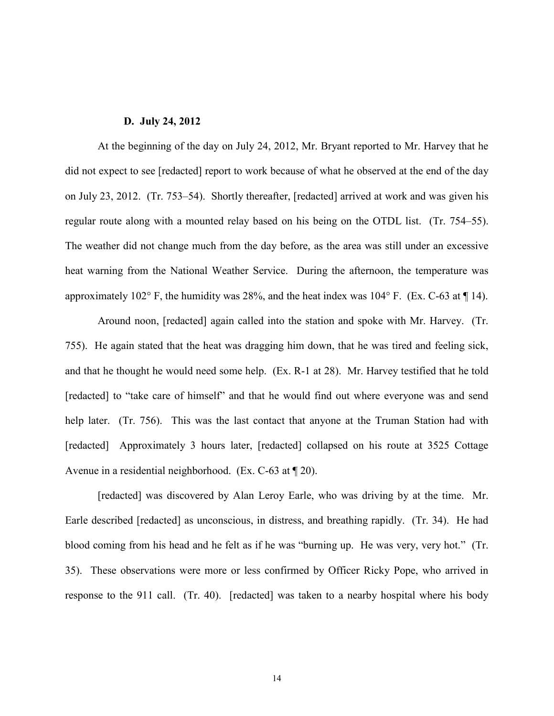#### **D. July 24, 2012**

At the beginning of the day on July 24, 2012, Mr. Bryant reported to Mr. Harvey that he did not expect to see [redacted] report to work because of what he observed at the end of the day on July 23, 2012. (Tr. 753–54). Shortly thereafter, [redacted] arrived at work and was given his regular route along with a mounted relay based on his being on the OTDL list. (Tr. 754–55). The weather did not change much from the day before, as the area was still under an excessive heat warning from the National Weather Service. During the afternoon, the temperature was approximately 102 $^{\circ}$  F, the humidity was 28%, and the heat index was 104 $^{\circ}$  F. (Ex. C-63 at ¶ 14).

Around noon, [redacted] again called into the station and spoke with Mr. Harvey. (Tr. 755). He again stated that the heat was dragging him down, that he was tired and feeling sick, and that he thought he would need some help. (Ex. R-1 at 28). Mr. Harvey testified that he told [redacted] to "take care of himself" and that he would find out where everyone was and send help later. (Tr. 756). This was the last contact that anyone at the Truman Station had with [redacted] Approximately 3 hours later, [redacted] collapsed on his route at 3525 Cottage Avenue in a residential neighborhood. (Ex. C-63 at ¶ 20).

[redacted] was discovered by Alan Leroy Earle, who was driving by at the time. Mr. Earle described [redacted] as unconscious, in distress, and breathing rapidly. (Tr. 34). He had blood coming from his head and he felt as if he was "burning up. He was very, very hot." (Tr. 35). These observations were more or less confirmed by Officer Ricky Pope, who arrived in response to the 911 call. (Tr. 40). [redacted] was taken to a nearby hospital where his body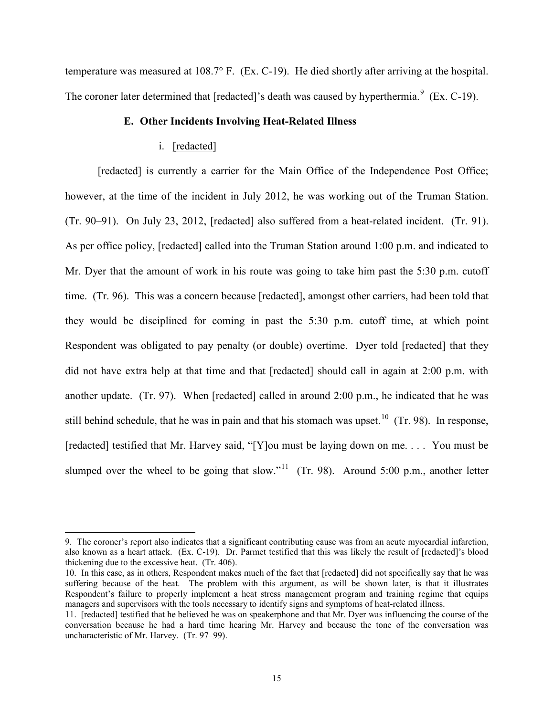temperature was measured at 108.7° F. (Ex. C-19). He died shortly after arriving at the hospital. The coroner later determined that [redacted]'s death was caused by hyperthermia. $9$  (Ex. C-19).

# **E. Other Incidents Involving Heat-Related Illness**

#### i. [redacted]

 $\overline{a}$ 

[redacted] is currently a carrier for the Main Office of the Independence Post Office; however, at the time of the incident in July 2012, he was working out of the Truman Station. (Tr. 90–91). On July 23, 2012, [redacted] also suffered from a heat-related incident. (Tr. 91). As per office policy, [redacted] called into the Truman Station around 1:00 p.m. and indicated to Mr. Dyer that the amount of work in his route was going to take him past the 5:30 p.m. cutoff time. (Tr. 96). This was a concern because [redacted], amongst other carriers, had been told that they would be disciplined for coming in past the 5:30 p.m. cutoff time, at which point Respondent was obligated to pay penalty (or double) overtime. Dyer told [redacted] that they did not have extra help at that time and that [redacted] should call in again at 2:00 p.m. with another update. (Tr. 97). When [redacted] called in around 2:00 p.m., he indicated that he was still behind schedule, that he was in pain and that his stomach was upset.<sup>10</sup> (Tr. 98). In response, [redacted] testified that Mr. Harvey said, "[Y]ou must be laying down on me. . . . You must be slumped over the wheel to be going that slow."<sup>[11](#page-14-2)</sup> (Tr. 98). Around 5:00 p.m., another letter

<span id="page-14-0"></span><sup>9.</sup> The coroner's report also indicates that a significant contributing cause was from an acute myocardial infarction, also known as a heart attack. (Ex. C-19). Dr. Parmet testified that this was likely the result of [redacted]'s blood thickening due to the excessive heat. (Tr. 406).

<span id="page-14-1"></span><sup>10.</sup> In this case, as in others, Respondent makes much of the fact that [redacted] did not specifically say that he was suffering because of the heat. The problem with this argument, as will be shown later, is that it illustrates Respondent's failure to properly implement a heat stress management program and training regime that equips managers and supervisors with the tools necessary to identify signs and symptoms of heat-related illness.

<span id="page-14-2"></span><sup>11. [</sup>redacted] testified that he believed he was on speakerphone and that Mr. Dyer was influencing the course of the conversation because he had a hard time hearing Mr. Harvey and because the tone of the conversation was uncharacteristic of Mr. Harvey. (Tr. 97–99).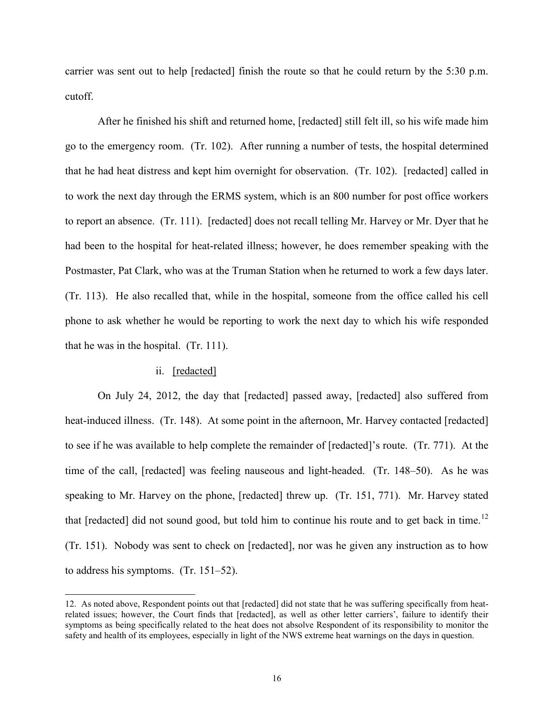carrier was sent out to help [redacted] finish the route so that he could return by the  $5:30$  p.m. cutoff.

After he finished his shift and returned home, [redacted] still felt ill, so his wife made him go to the emergency room. (Tr. 102). After running a number of tests, the hospital determined that he had heat distress and kept him overnight for observation. (Tr. 102). [redacted] called in to work the next day through the ERMS system, which is an 800 number for post office workers to report an absence. (Tr. 111). [redacted] does not recall telling Mr. Harvey or Mr. Dyer that he had been to the hospital for heat-related illness; however, he does remember speaking with the Postmaster, Pat Clark, who was at the Truman Station when he returned to work a few days later. (Tr. 113). He also recalled that, while in the hospital, someone from the office called his cell phone to ask whether he would be reporting to work the next day to which his wife responded that he was in the hospital. (Tr. 111).

# ii. [redacted]

 $\overline{a}$ 

On July 24, 2012, the day that [redacted] passed away, [redacted] also suffered from heat-induced illness. (Tr. 148). At some point in the afternoon, Mr. Harvey contacted [redacted] to see if he was available to help complete the remainder of [redacted]'s route. (Tr. 771). At the time of the call, [redacted] was feeling nauseous and light-headed. (Tr. 148–50). As he was speaking to Mr. Harvey on the phone, [redacted] threw up. (Tr. 151, 771). Mr. Harvey stated that [redacted] did not sound good, but told him to continue his route and to get back in time.<sup>[12](#page-15-0)</sup> (Tr. 151). Nobody was sent to check on [redacted], nor was he given any instruction as to how to address his symptoms. (Tr. 151–52).

<span id="page-15-0"></span><sup>12.</sup> As noted above, Respondent points out that [redacted] did not state that he was suffering specifically from heatrelated issues; however, the Court finds that [redacted], as well as other letter carriers', failure to identify their symptoms as being specifically related to the heat does not absolve Respondent of its responsibility to monitor the safety and health of its employees, especially in light of the NWS extreme heat warnings on the days in question.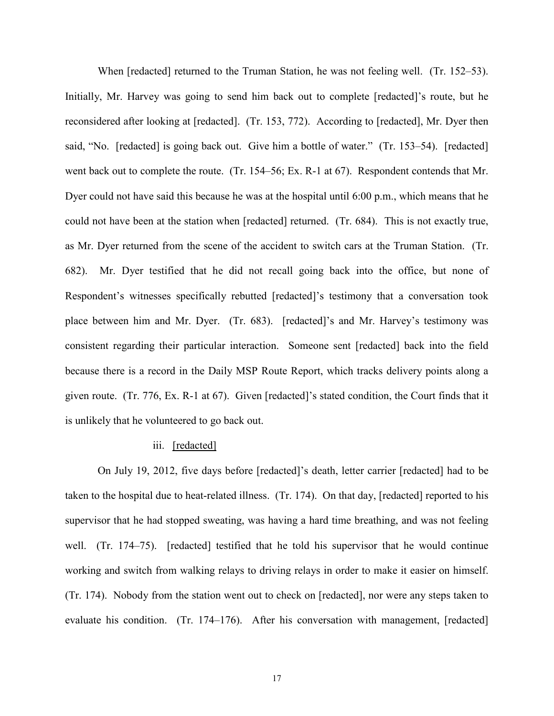When [redacted] returned to the Truman Station, he was not feeling well. (Tr. 152–53). Initially, Mr. Harvey was going to send him back out to complete [redacted]'s route, but he reconsidered after looking at [redacted]. (Tr. 153, 772). According to [redacted], Mr. Dyer then said, "No. [redacted] is going back out. Give him a bottle of water." (Tr. 153–54). [redacted] went back out to complete the route. (Tr. 154–56; Ex. R-1 at 67). Respondent contends that Mr. Dyer could not have said this because he was at the hospital until 6:00 p.m., which means that he could not have been at the station when [redacted] returned. (Tr. 684). This is not exactly true, as Mr. Dyer returned from the scene of the accident to switch cars at the Truman Station. (Tr. 682). Mr. Dyer testified that he did not recall going back into the office, but none of Respondent's witnesses specifically rebutted [redacted]'s testimony that a conversation took place between him and Mr. Dyer. (Tr. 683). [redacted]'s and Mr. Harvey's testimony was consistent regarding their particular interaction. Someone sent [redacted] back into the field because there is a record in the Daily MSP Route Report, which tracks delivery points along a given route. (Tr. 776, Ex. R-1 at 67). Given [redacted]'s stated condition, the Court finds that it is unlikely that he volunteered to go back out.

#### iii. [redacted]

On July 19, 2012, five days before [redacted]'s death, letter carrier [redacted] had to be taken to the hospital due to heat-related illness. (Tr. 174). On that day, [redacted] reported to his supervisor that he had stopped sweating, was having a hard time breathing, and was not feeling well. (Tr. 174–75). [redacted] testified that he told his supervisor that he would continue working and switch from walking relays to driving relays in order to make it easier on himself. (Tr. 174). Nobody from the station went out to check on [redacted], nor were any steps taken to evaluate his condition. (Tr. 174–176). After his conversation with management, [redacted]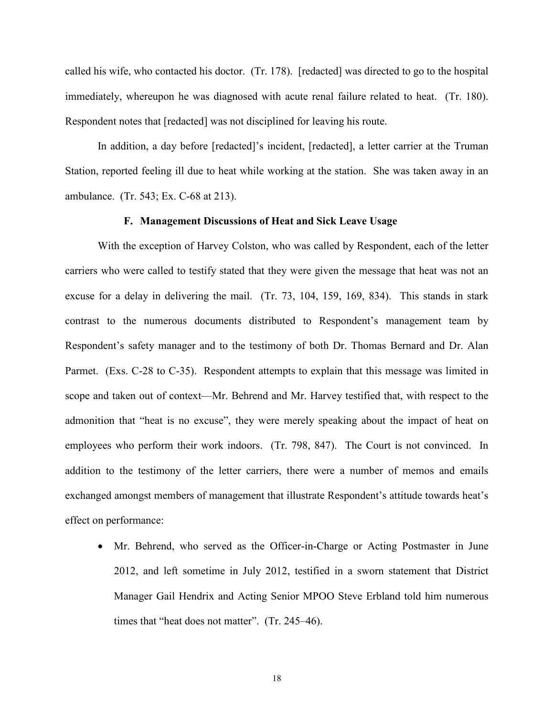called his wife, who contacted his doctor. (Tr. 178). [redacted] was directed to go to the hospital immediately, whereupon he was diagnosed with acute renal failure related to heat. (Tr. 180). Respondent notes that [redacted] was not disciplined for leaving his route.

In addition, a day before [redacted]'s incident, [redacted], a letter carrier at the Truman Station, reported feeling ill due to heat while working at the station. She was taken away in an ambulance. (Tr. 543; Ex. C-68 at 213).

#### **F. Management Discussions of Heat and Sick Leave Usage**

With the exception of Harvey Colston, who was called by Respondent, each of the letter carriers who were called to testify stated that they were given the message that heat was not an excuse for a delay in delivering the mail. (Tr. 73, 104, 159, 169, 834). This stands in stark contrast to the numerous documents distributed to Respondent's management team by Respondent's safety manager and to the testimony of both Dr. Thomas Bernard and Dr. Alan Parmet. (Exs. C-28 to C-35). Respondent attempts to explain that this message was limited in scope and taken out of context—Mr. Behrend and Mr. Harvey testified that, with respect to the admonition that "heat is no excuse", they were merely speaking about the impact of heat on employees who perform their work indoors. (Tr. 798, 847). The Court is not convinced. In addition to the testimony of the letter carriers, there were a number of memos and emails exchanged amongst members of management that illustrate Respondent's attitude towards heat's effect on performance:

• Mr. Behrend, who served as the Officer-in-Charge or Acting Postmaster in June 2012, and left sometime in July 2012, testified in a sworn statement that District Manager Gail Hendrix and Acting Senior MPOO Steve Erbland told him numerous times that "heat does not matter". (Tr. 245–46).

18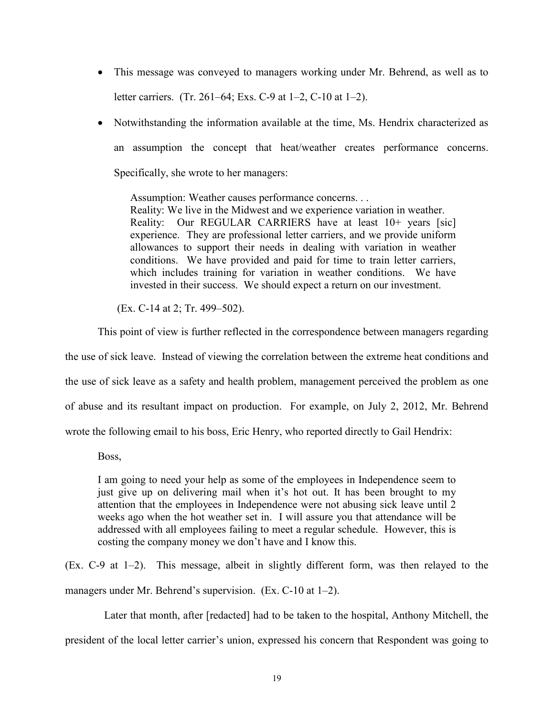- This message was conveyed to managers working under Mr. Behrend, as well as to letter carriers. (Tr. 261–64; Exs. C-9 at 1–2, C-10 at 1–2).
- Notwithstanding the information available at the time, Ms. Hendrix characterized as an assumption the concept that heat/weather creates performance concerns. Specifically, she wrote to her managers:

Assumption: Weather causes performance concerns. . . Reality: We live in the Midwest and we experience variation in weather. Reality: Our REGULAR CARRIERS have at least 10+ years [sic] experience. They are professional letter carriers, and we provide uniform allowances to support their needs in dealing with variation in weather conditions. We have provided and paid for time to train letter carriers, which includes training for variation in weather conditions. We have invested in their success. We should expect a return on our investment.

(Ex. C-14 at 2; Tr. 499–502).

This point of view is further reflected in the correspondence between managers regarding

the use of sick leave. Instead of viewing the correlation between the extreme heat conditions and the use of sick leave as a safety and health problem, management perceived the problem as one of abuse and its resultant impact on production. For example, on July 2, 2012, Mr. Behrend wrote the following email to his boss, Eric Henry, who reported directly to Gail Hendrix:

Boss,

I am going to need your help as some of the employees in Independence seem to just give up on delivering mail when it's hot out. It has been brought to my attention that the employees in Independence were not abusing sick leave until 2 weeks ago when the hot weather set in. I will assure you that attendance will be addressed with all employees failing to meet a regular schedule. However, this is costing the company money we don't have and I know this.

(Ex. C-9 at 1–2). This message, albeit in slightly different form, was then relayed to the managers under Mr. Behrend's supervision. (Ex. C-10 at 1–2).

Later that month, after [redacted] had to be taken to the hospital, Anthony Mitchell, the president of the local letter carrier's union, expressed his concern that Respondent was going to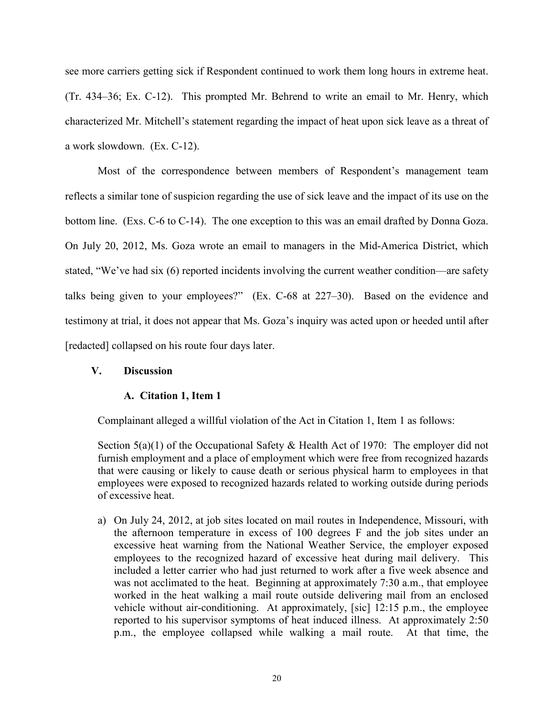see more carriers getting sick if Respondent continued to work them long hours in extreme heat. (Tr. 434–36; Ex. C-12). This prompted Mr. Behrend to write an email to Mr. Henry, which characterized Mr. Mitchell's statement regarding the impact of heat upon sick leave as a threat of a work slowdown. (Ex. C-12).

Most of the correspondence between members of Respondent's management team reflects a similar tone of suspicion regarding the use of sick leave and the impact of its use on the bottom line. (Exs. C-6 to C-14). The one exception to this was an email drafted by Donna Goza. On July 20, 2012, Ms. Goza wrote an email to managers in the Mid-America District, which stated, "We've had six (6) reported incidents involving the current weather condition—are safety talks being given to your employees?" (Ex. C-68 at 227–30). Based on the evidence and testimony at trial, it does not appear that Ms. Goza's inquiry was acted upon or heeded until after [redacted] collapsed on his route four days later.

# **V. Discussion**

# **A. Citation 1, Item 1**

Complainant alleged a willful violation of the Act in Citation 1, Item 1 as follows:

Section 5(a)(1) of the Occupational Safety & Health Act of 1970: The employer did not furnish employment and a place of employment which were free from recognized hazards that were causing or likely to cause death or serious physical harm to employees in that employees were exposed to recognized hazards related to working outside during periods of excessive heat.

a) On July 24, 2012, at job sites located on mail routes in Independence, Missouri, with the afternoon temperature in excess of 100 degrees F and the job sites under an excessive heat warning from the National Weather Service, the employer exposed employees to the recognized hazard of excessive heat during mail delivery. This included a letter carrier who had just returned to work after a five week absence and was not acclimated to the heat. Beginning at approximately 7:30 a.m., that employee worked in the heat walking a mail route outside delivering mail from an enclosed vehicle without air-conditioning. At approximately, [sic] 12:15 p.m., the employee reported to his supervisor symptoms of heat induced illness. At approximately 2:50 p.m., the employee collapsed while walking a mail route. At that time, the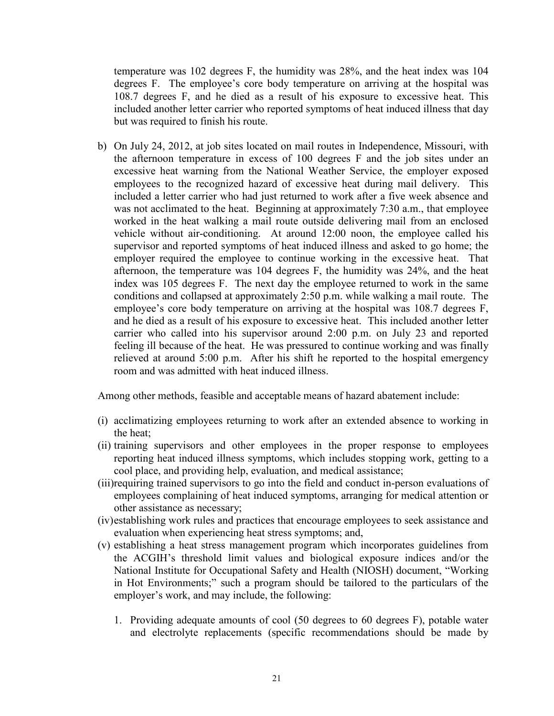temperature was 102 degrees F, the humidity was 28%, and the heat index was 104 degrees F. The employee's core body temperature on arriving at the hospital was 108.7 degrees F, and he died as a result of his exposure to excessive heat. This included another letter carrier who reported symptoms of heat induced illness that day but was required to finish his route.

b) On July 24, 2012, at job sites located on mail routes in Independence, Missouri, with the afternoon temperature in excess of 100 degrees F and the job sites under an excessive heat warning from the National Weather Service, the employer exposed employees to the recognized hazard of excessive heat during mail delivery. This included a letter carrier who had just returned to work after a five week absence and was not acclimated to the heat. Beginning at approximately 7:30 a.m., that employee worked in the heat walking a mail route outside delivering mail from an enclosed vehicle without air-conditioning. At around 12:00 noon, the employee called his supervisor and reported symptoms of heat induced illness and asked to go home; the employer required the employee to continue working in the excessive heat. That afternoon, the temperature was 104 degrees F, the humidity was 24%, and the heat index was 105 degrees F. The next day the employee returned to work in the same conditions and collapsed at approximately 2:50 p.m. while walking a mail route. The employee's core body temperature on arriving at the hospital was 108.7 degrees F, and he died as a result of his exposure to excessive heat. This included another letter carrier who called into his supervisor around 2:00 p.m. on July 23 and reported feeling ill because of the heat. He was pressured to continue working and was finally relieved at around 5:00 p.m. After his shift he reported to the hospital emergency room and was admitted with heat induced illness.

Among other methods, feasible and acceptable means of hazard abatement include:

- (i) acclimatizing employees returning to work after an extended absence to working in the heat;
- (ii) training supervisors and other employees in the proper response to employees reporting heat induced illness symptoms, which includes stopping work, getting to a cool place, and providing help, evaluation, and medical assistance;
- (iii)requiring trained supervisors to go into the field and conduct in-person evaluations of employees complaining of heat induced symptoms, arranging for medical attention or other assistance as necessary;
- (iv)establishing work rules and practices that encourage employees to seek assistance and evaluation when experiencing heat stress symptoms; and,
- (v) establishing a heat stress management program which incorporates guidelines from the ACGIH's threshold limit values and biological exposure indices and/or the National Institute for Occupational Safety and Health (NIOSH) document, "Working in Hot Environments;" such a program should be tailored to the particulars of the employer's work, and may include, the following:
	- 1. Providing adequate amounts of cool (50 degrees to 60 degrees F), potable water and electrolyte replacements (specific recommendations should be made by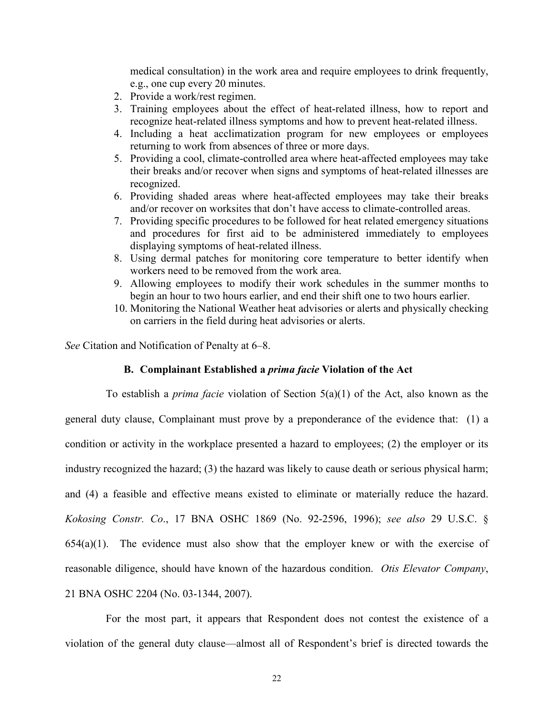medical consultation) in the work area and require employees to drink frequently, e.g., one cup every 20 minutes.

- 2. Provide a work/rest regimen.
- 3. Training employees about the effect of heat-related illness, how to report and recognize heat-related illness symptoms and how to prevent heat-related illness.
- 4. Including a heat acclimatization program for new employees or employees returning to work from absences of three or more days.
- 5. Providing a cool, climate-controlled area where heat-affected employees may take their breaks and/or recover when signs and symptoms of heat-related illnesses are recognized.
- 6. Providing shaded areas where heat-affected employees may take their breaks and/or recover on worksites that don't have access to climate-controlled areas.
- 7. Providing specific procedures to be followed for heat related emergency situations and procedures for first aid to be administered immediately to employees displaying symptoms of heat-related illness.
- 8. Using dermal patches for monitoring core temperature to better identify when workers need to be removed from the work area.
- 9. Allowing employees to modify their work schedules in the summer months to begin an hour to two hours earlier, and end their shift one to two hours earlier.
- 10. Monitoring the National Weather heat advisories or alerts and physically checking on carriers in the field during heat advisories or alerts.

*See* Citation and Notification of Penalty at 6–8.

#### **B. Complainant Established a** *prima facie* **Violation of the Act**

To establish a *prima facie* violation of Section 5(a)(1) of the Act, also known as the general duty clause, Complainant must prove by a preponderance of the evidence that: (1) a condition or activity in the workplace presented a hazard to employees; (2) the employer or its industry recognized the hazard; (3) the hazard was likely to cause death or serious physical harm; and (4) a feasible and effective means existed to eliminate or materially reduce the hazard. *Kokosing Constr. Co*., 17 BNA OSHC 1869 (No. 92-2596, 1996); *see also* 29 U.S.C. §  $654(a)(1)$ . The evidence must also show that the employer knew or with the exercise of reasonable diligence, should have known of the hazardous condition. *Otis Elevator Company*, 21 BNA OSHC 2204 (No. 03-1344, 2007).

For the most part, it appears that Respondent does not contest the existence of a violation of the general duty clause—almost all of Respondent's brief is directed towards the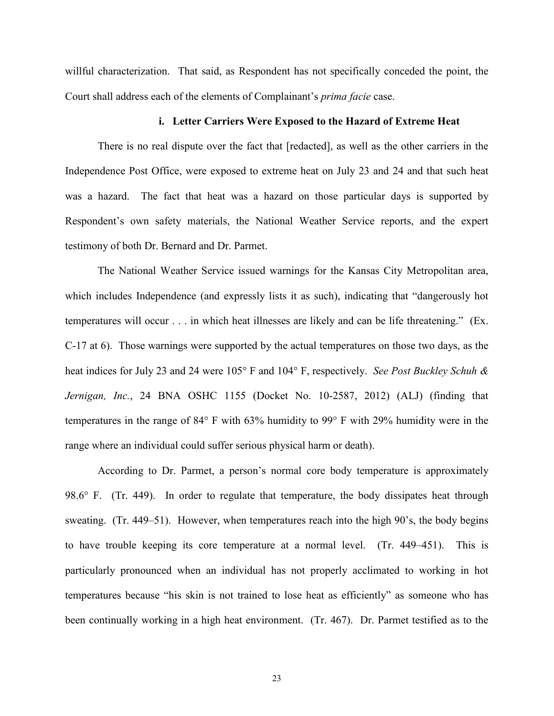willful characterization. That said, as Respondent has not specifically conceded the point, the Court shall address each of the elements of Complainant's *prima facie* case.

#### **i. Letter Carriers Were Exposed to the Hazard of Extreme Heat**

There is no real dispute over the fact that [redacted], as well as the other carriers in the Independence Post Office, were exposed to extreme heat on July 23 and 24 and that such heat was a hazard. The fact that heat was a hazard on those particular days is supported by Respondent's own safety materials, the National Weather Service reports, and the expert testimony of both Dr. Bernard and Dr. Parmet.

The National Weather Service issued warnings for the Kansas City Metropolitan area, which includes Independence (and expressly lists it as such), indicating that "dangerously hot temperatures will occur . . . in which heat illnesses are likely and can be life threatening." (Ex. C-17 at 6). Those warnings were supported by the actual temperatures on those two days, as the heat indices for July 23 and 24 were 105° F and 104° F, respectively. *See Post Buckley Schuh & Jernigan, Inc.*, 24 BNA OSHC 1155 (Docket No. 10-2587, 2012) (ALJ) (finding that temperatures in the range of 84° F with 63% humidity to 99° F with 29% humidity were in the range where an individual could suffer serious physical harm or death).

According to Dr. Parmet, a person's normal core body temperature is approximately 98.6° F. (Tr. 449). In order to regulate that temperature, the body dissipates heat through sweating. (Tr. 449–51). However, when temperatures reach into the high 90's, the body begins to have trouble keeping its core temperature at a normal level. (Tr. 449–451). This is particularly pronounced when an individual has not properly acclimated to working in hot temperatures because "his skin is not trained to lose heat as efficiently" as someone who has been continually working in a high heat environment. (Tr. 467). Dr. Parmet testified as to the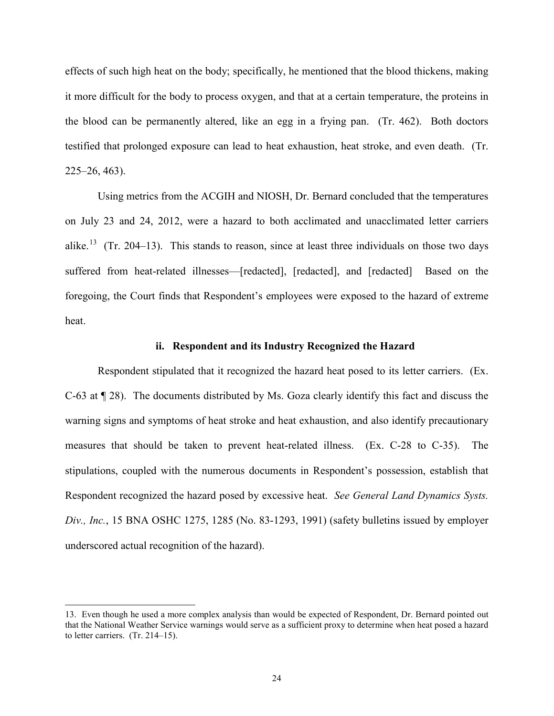effects of such high heat on the body; specifically, he mentioned that the blood thickens, making it more difficult for the body to process oxygen, and that at a certain temperature, the proteins in the blood can be permanently altered, like an egg in a frying pan. (Tr. 462). Both doctors testified that prolonged exposure can lead to heat exhaustion, heat stroke, and even death. (Tr. 225–26, 463).

Using metrics from the ACGIH and NIOSH, Dr. Bernard concluded that the temperatures on July 23 and 24, 2012, were a hazard to both acclimated and unacclimated letter carriers alike.<sup>[13](#page-23-0)</sup> (Tr. 204–13). This stands to reason, since at least three individuals on those two days suffered from heat-related illnesses—[redacted], [redacted], and [redacted] Based on the foregoing, the Court finds that Respondent's employees were exposed to the hazard of extreme heat.

#### **ii. Respondent and its Industry Recognized the Hazard**

Respondent stipulated that it recognized the hazard heat posed to its letter carriers. (Ex. C-63 at ¶ 28). The documents distributed by Ms. Goza clearly identify this fact and discuss the warning signs and symptoms of heat stroke and heat exhaustion, and also identify precautionary measures that should be taken to prevent heat-related illness. (Ex. C-28 to C-35). The stipulations, coupled with the numerous documents in Respondent's possession, establish that Respondent recognized the hazard posed by excessive heat. *See General Land Dynamics Systs. Div., Inc.*, 15 BNA OSHC 1275, 1285 (No. 83-1293, 1991) (safety bulletins issued by employer underscored actual recognition of the hazard).

 $\overline{a}$ 

<span id="page-23-0"></span><sup>13.</sup> Even though he used a more complex analysis than would be expected of Respondent, Dr. Bernard pointed out that the National Weather Service warnings would serve as a sufficient proxy to determine when heat posed a hazard to letter carriers. (Tr. 214–15).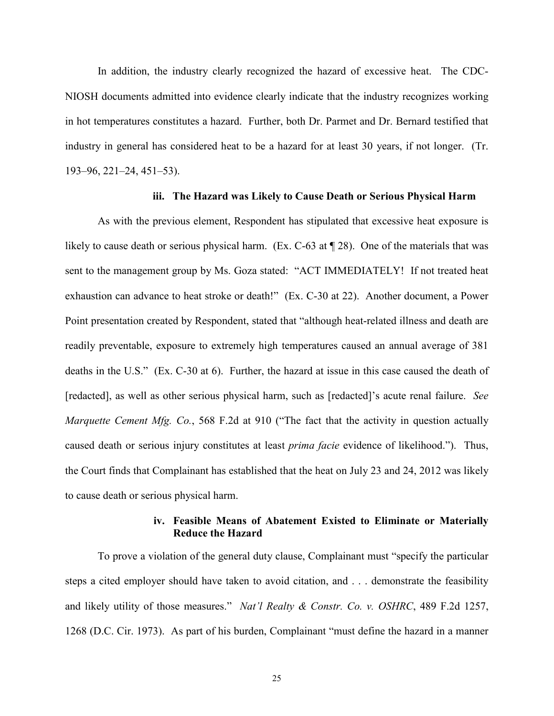In addition, the industry clearly recognized the hazard of excessive heat. The CDC-NIOSH documents admitted into evidence clearly indicate that the industry recognizes working in hot temperatures constitutes a hazard. Further, both Dr. Parmet and Dr. Bernard testified that industry in general has considered heat to be a hazard for at least 30 years, if not longer. (Tr. 193–96, 221–24, 451–53).

### **iii. The Hazard was Likely to Cause Death or Serious Physical Harm**

As with the previous element, Respondent has stipulated that excessive heat exposure is likely to cause death or serious physical harm. (Ex. C-63 at  $\P$  28). One of the materials that was sent to the management group by Ms. Goza stated: "ACT IMMEDIATELY! If not treated heat exhaustion can advance to heat stroke or death!" (Ex. C-30 at 22). Another document, a Power Point presentation created by Respondent, stated that "although heat-related illness and death are readily preventable, exposure to extremely high temperatures caused an annual average of 381 deaths in the U.S." (Ex. C-30 at 6). Further, the hazard at issue in this case caused the death of [redacted], as well as other serious physical harm, such as [redacted]'s acute renal failure. *See Marquette Cement Mfg. Co.*, 568 F.2d at 910 ("The fact that the activity in question actually caused death or serious injury constitutes at least *prima facie* evidence of likelihood."). Thus, the Court finds that Complainant has established that the heat on July 23 and 24, 2012 was likely to cause death or serious physical harm.

# **iv. Feasible Means of Abatement Existed to Eliminate or Materially Reduce the Hazard**

To prove a violation of the general duty clause, Complainant must "specify the particular steps a cited employer should have taken to avoid citation, and . . . demonstrate the feasibility and likely utility of those measures." *Nat'l Realty & Constr. Co. v. OSHRC*, 489 F.2d 1257, 1268 (D.C. Cir. 1973). As part of his burden, Complainant "must define the hazard in a manner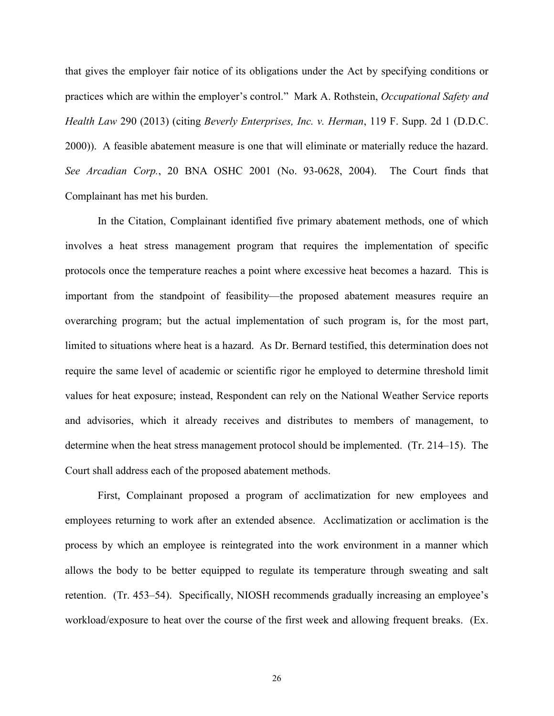that gives the employer fair notice of its obligations under the Act by specifying conditions or practices which are within the employer's control." Mark A. Rothstein, *Occupational Safety and Health Law* 290 (2013) (citing *Beverly Enterprises, Inc. v. Herman*, 119 F. Supp. 2d 1 (D.D.C. 2000)). A feasible abatement measure is one that will eliminate or materially reduce the hazard. *See Arcadian Corp.*, 20 BNA OSHC 2001 (No. 93-0628, 2004). The Court finds that Complainant has met his burden.

In the Citation, Complainant identified five primary abatement methods, one of which involves a heat stress management program that requires the implementation of specific protocols once the temperature reaches a point where excessive heat becomes a hazard. This is important from the standpoint of feasibility—the proposed abatement measures require an overarching program; but the actual implementation of such program is, for the most part, limited to situations where heat is a hazard. As Dr. Bernard testified, this determination does not require the same level of academic or scientific rigor he employed to determine threshold limit values for heat exposure; instead, Respondent can rely on the National Weather Service reports and advisories, which it already receives and distributes to members of management, to determine when the heat stress management protocol should be implemented. (Tr. 214–15). The Court shall address each of the proposed abatement methods.

First, Complainant proposed a program of acclimatization for new employees and employees returning to work after an extended absence. Acclimatization or acclimation is the process by which an employee is reintegrated into the work environment in a manner which allows the body to be better equipped to regulate its temperature through sweating and salt retention. (Tr. 453–54). Specifically, NIOSH recommends gradually increasing an employee's workload/exposure to heat over the course of the first week and allowing frequent breaks. (Ex.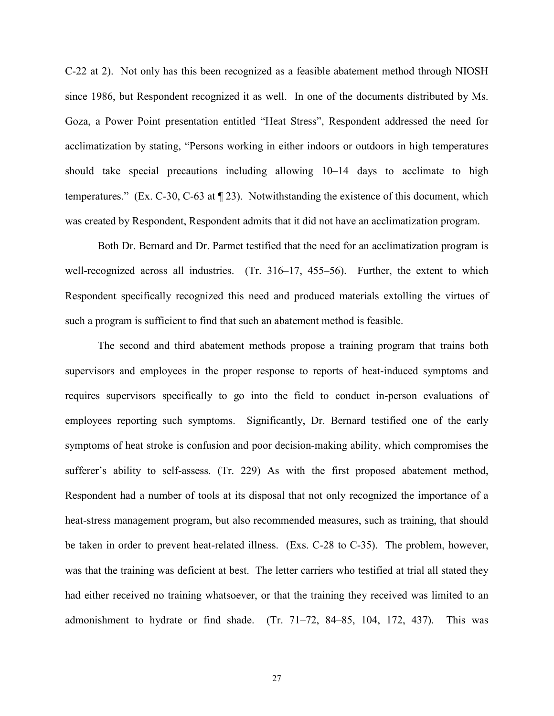C-22 at 2). Not only has this been recognized as a feasible abatement method through NIOSH since 1986, but Respondent recognized it as well. In one of the documents distributed by Ms. Goza, a Power Point presentation entitled "Heat Stress", Respondent addressed the need for acclimatization by stating, "Persons working in either indoors or outdoors in high temperatures should take special precautions including allowing 10–14 days to acclimate to high temperatures." (Ex. C-30, C-63 at ¶ 23). Notwithstanding the existence of this document, which was created by Respondent, Respondent admits that it did not have an acclimatization program.

Both Dr. Bernard and Dr. Parmet testified that the need for an acclimatization program is well-recognized across all industries. (Tr. 316–17, 455–56). Further, the extent to which Respondent specifically recognized this need and produced materials extolling the virtues of such a program is sufficient to find that such an abatement method is feasible.

The second and third abatement methods propose a training program that trains both supervisors and employees in the proper response to reports of heat-induced symptoms and requires supervisors specifically to go into the field to conduct in-person evaluations of employees reporting such symptoms. Significantly, Dr. Bernard testified one of the early symptoms of heat stroke is confusion and poor decision-making ability, which compromises the sufferer's ability to self-assess. (Tr. 229) As with the first proposed abatement method, Respondent had a number of tools at its disposal that not only recognized the importance of a heat-stress management program, but also recommended measures, such as training, that should be taken in order to prevent heat-related illness. (Exs. C-28 to C-35). The problem, however, was that the training was deficient at best. The letter carriers who testified at trial all stated they had either received no training whatsoever, or that the training they received was limited to an admonishment to hydrate or find shade. (Tr. 71–72, 84–85, 104, 172, 437). This was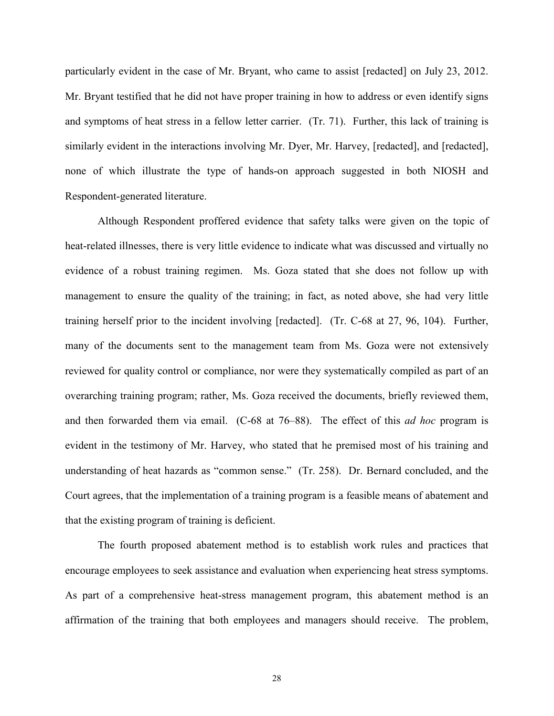particularly evident in the case of Mr. Bryant, who came to assist [redacted] on July 23, 2012. Mr. Bryant testified that he did not have proper training in how to address or even identify signs and symptoms of heat stress in a fellow letter carrier. (Tr. 71). Further, this lack of training is similarly evident in the interactions involving Mr. Dyer, Mr. Harvey, [redacted], and [redacted], none of which illustrate the type of hands-on approach suggested in both NIOSH and Respondent-generated literature.

Although Respondent proffered evidence that safety talks were given on the topic of heat-related illnesses, there is very little evidence to indicate what was discussed and virtually no evidence of a robust training regimen. Ms. Goza stated that she does not follow up with management to ensure the quality of the training; in fact, as noted above, she had very little training herself prior to the incident involving [redacted]. (Tr. C-68 at 27, 96, 104). Further, many of the documents sent to the management team from Ms. Goza were not extensively reviewed for quality control or compliance, nor were they systematically compiled as part of an overarching training program; rather, Ms. Goza received the documents, briefly reviewed them, and then forwarded them via email. (C-68 at 76–88). The effect of this *ad hoc* program is evident in the testimony of Mr. Harvey, who stated that he premised most of his training and understanding of heat hazards as "common sense." (Tr. 258). Dr. Bernard concluded, and the Court agrees, that the implementation of a training program is a feasible means of abatement and that the existing program of training is deficient.

The fourth proposed abatement method is to establish work rules and practices that encourage employees to seek assistance and evaluation when experiencing heat stress symptoms. As part of a comprehensive heat-stress management program, this abatement method is an affirmation of the training that both employees and managers should receive. The problem,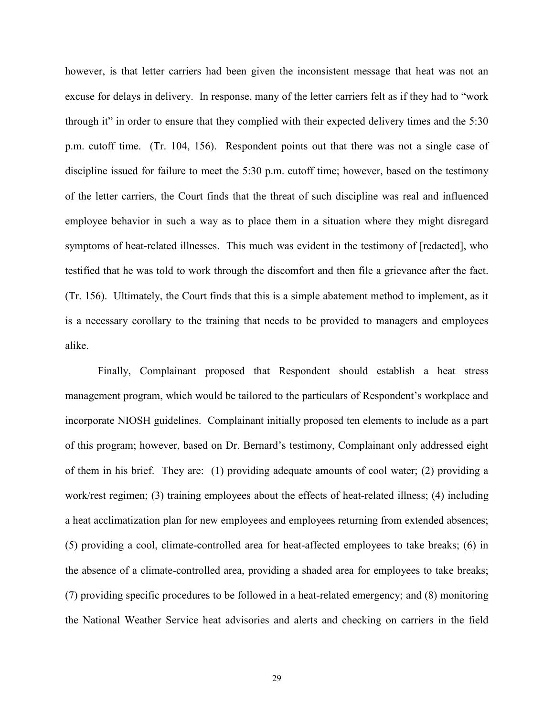however, is that letter carriers had been given the inconsistent message that heat was not an excuse for delays in delivery. In response, many of the letter carriers felt as if they had to "work through it" in order to ensure that they complied with their expected delivery times and the 5:30 p.m. cutoff time. (Tr. 104, 156). Respondent points out that there was not a single case of discipline issued for failure to meet the 5:30 p.m. cutoff time; however, based on the testimony of the letter carriers, the Court finds that the threat of such discipline was real and influenced employee behavior in such a way as to place them in a situation where they might disregard symptoms of heat-related illnesses. This much was evident in the testimony of [redacted], who testified that he was told to work through the discomfort and then file a grievance after the fact. (Tr. 156). Ultimately, the Court finds that this is a simple abatement method to implement, as it is a necessary corollary to the training that needs to be provided to managers and employees alike.

Finally, Complainant proposed that Respondent should establish a heat stress management program, which would be tailored to the particulars of Respondent's workplace and incorporate NIOSH guidelines. Complainant initially proposed ten elements to include as a part of this program; however, based on Dr. Bernard's testimony, Complainant only addressed eight of them in his brief. They are: (1) providing adequate amounts of cool water; (2) providing a work/rest regimen; (3) training employees about the effects of heat-related illness; (4) including a heat acclimatization plan for new employees and employees returning from extended absences; (5) providing a cool, climate-controlled area for heat-affected employees to take breaks; (6) in the absence of a climate-controlled area, providing a shaded area for employees to take breaks; (7) providing specific procedures to be followed in a heat-related emergency; and (8) monitoring the National Weather Service heat advisories and alerts and checking on carriers in the field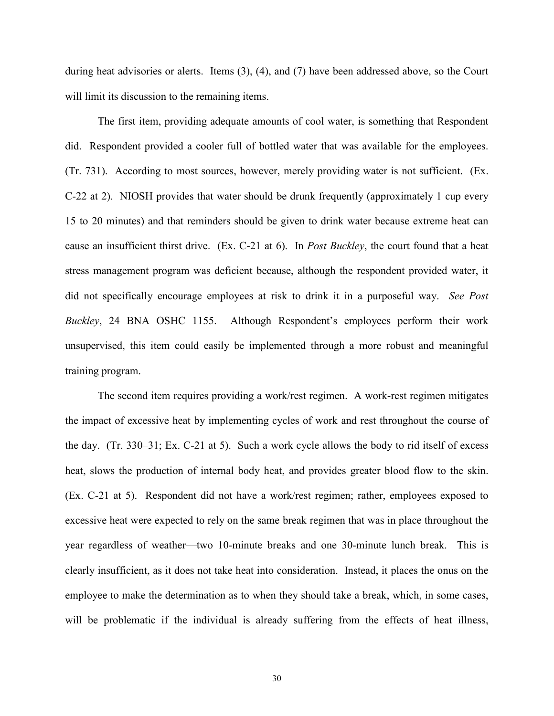during heat advisories or alerts. Items (3), (4), and (7) have been addressed above, so the Court will limit its discussion to the remaining items.

The first item, providing adequate amounts of cool water, is something that Respondent did. Respondent provided a cooler full of bottled water that was available for the employees. (Tr. 731). According to most sources, however, merely providing water is not sufficient. (Ex. C-22 at 2). NIOSH provides that water should be drunk frequently (approximately 1 cup every 15 to 20 minutes) and that reminders should be given to drink water because extreme heat can cause an insufficient thirst drive. (Ex. C-21 at 6). In *Post Buckley*, the court found that a heat stress management program was deficient because, although the respondent provided water, it did not specifically encourage employees at risk to drink it in a purposeful way. *See Post Buckley*, 24 BNA OSHC 1155. Although Respondent's employees perform their work unsupervised, this item could easily be implemented through a more robust and meaningful training program.

The second item requires providing a work/rest regimen. A work-rest regimen mitigates the impact of excessive heat by implementing cycles of work and rest throughout the course of the day. (Tr. 330–31; Ex. C-21 at 5). Such a work cycle allows the body to rid itself of excess heat, slows the production of internal body heat, and provides greater blood flow to the skin. (Ex. C-21 at 5). Respondent did not have a work/rest regimen; rather, employees exposed to excessive heat were expected to rely on the same break regimen that was in place throughout the year regardless of weather—two 10-minute breaks and one 30-minute lunch break. This is clearly insufficient, as it does not take heat into consideration. Instead, it places the onus on the employee to make the determination as to when they should take a break, which, in some cases, will be problematic if the individual is already suffering from the effects of heat illness,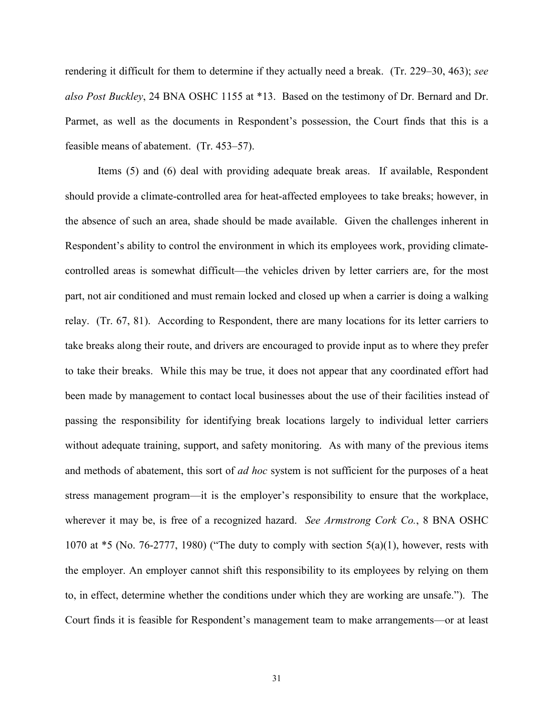rendering it difficult for them to determine if they actually need a break. (Tr. 229–30, 463); *see also Post Buckley*, 24 BNA OSHC 1155 at \*13. Based on the testimony of Dr. Bernard and Dr. Parmet, as well as the documents in Respondent's possession, the Court finds that this is a feasible means of abatement. (Tr. 453–57).

Items (5) and (6) deal with providing adequate break areas. If available, Respondent should provide a climate-controlled area for heat-affected employees to take breaks; however, in the absence of such an area, shade should be made available. Given the challenges inherent in Respondent's ability to control the environment in which its employees work, providing climatecontrolled areas is somewhat difficult—the vehicles driven by letter carriers are, for the most part, not air conditioned and must remain locked and closed up when a carrier is doing a walking relay. (Tr. 67, 81). According to Respondent, there are many locations for its letter carriers to take breaks along their route, and drivers are encouraged to provide input as to where they prefer to take their breaks. While this may be true, it does not appear that any coordinated effort had been made by management to contact local businesses about the use of their facilities instead of passing the responsibility for identifying break locations largely to individual letter carriers without adequate training, support, and safety monitoring. As with many of the previous items and methods of abatement, this sort of *ad hoc* system is not sufficient for the purposes of a heat stress management program—it is the employer's responsibility to ensure that the workplace, wherever it may be, is free of a recognized hazard. *See Armstrong Cork Co.*, 8 BNA OSHC 1070 at  $*$ 5 (No. 76-2777, 1980) ("The duty to comply with section  $5(a)(1)$ , however, rests with the employer. An employer cannot shift this responsibility to its employees by relying on them to, in effect, determine whether the conditions under which they are working are unsafe."). The Court finds it is feasible for Respondent's management team to make arrangements—or at least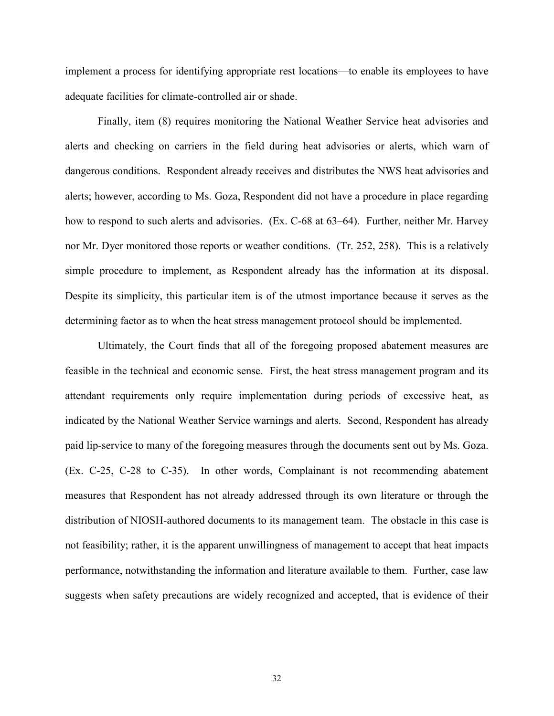implement a process for identifying appropriate rest locations—to enable its employees to have adequate facilities for climate-controlled air or shade.

Finally, item (8) requires monitoring the National Weather Service heat advisories and alerts and checking on carriers in the field during heat advisories or alerts, which warn of dangerous conditions. Respondent already receives and distributes the NWS heat advisories and alerts; however, according to Ms. Goza, Respondent did not have a procedure in place regarding how to respond to such alerts and advisories. (Ex. C-68 at 63–64). Further, neither Mr. Harvey nor Mr. Dyer monitored those reports or weather conditions. (Tr. 252, 258). This is a relatively simple procedure to implement, as Respondent already has the information at its disposal. Despite its simplicity, this particular item is of the utmost importance because it serves as the determining factor as to when the heat stress management protocol should be implemented.

Ultimately, the Court finds that all of the foregoing proposed abatement measures are feasible in the technical and economic sense. First, the heat stress management program and its attendant requirements only require implementation during periods of excessive heat, as indicated by the National Weather Service warnings and alerts. Second, Respondent has already paid lip-service to many of the foregoing measures through the documents sent out by Ms. Goza. (Ex. C-25, C-28 to C-35). In other words, Complainant is not recommending abatement measures that Respondent has not already addressed through its own literature or through the distribution of NIOSH-authored documents to its management team. The obstacle in this case is not feasibility; rather, it is the apparent unwillingness of management to accept that heat impacts performance, notwithstanding the information and literature available to them. Further, case law suggests when safety precautions are widely recognized and accepted, that is evidence of their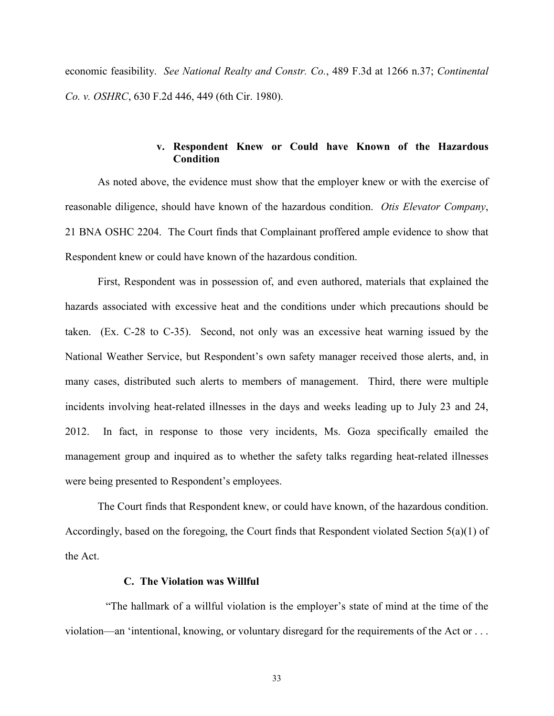economic feasibility. *See National Realty and Constr. Co.*, 489 F.3d at 1266 n.37; *Continental Co. v. OSHRC*, 630 F.2d 446, 449 (6th Cir. 1980).

# **v. Respondent Knew or Could have Known of the Hazardous Condition**

As noted above, the evidence must show that the employer knew or with the exercise of reasonable diligence, should have known of the hazardous condition. *Otis Elevator Company*, 21 BNA OSHC 2204. The Court finds that Complainant proffered ample evidence to show that Respondent knew or could have known of the hazardous condition.

First, Respondent was in possession of, and even authored, materials that explained the hazards associated with excessive heat and the conditions under which precautions should be taken. (Ex. C-28 to C-35). Second, not only was an excessive heat warning issued by the National Weather Service, but Respondent's own safety manager received those alerts, and, in many cases, distributed such alerts to members of management. Third, there were multiple incidents involving heat-related illnesses in the days and weeks leading up to July 23 and 24, 2012. In fact, in response to those very incidents, Ms. Goza specifically emailed the management group and inquired as to whether the safety talks regarding heat-related illnesses were being presented to Respondent's employees.

The Court finds that Respondent knew, or could have known, of the hazardous condition. Accordingly, based on the foregoing, the Court finds that Respondent violated Section 5(a)(1) of the Act.

#### **C. The Violation was Willful**

"The hallmark of a willful violation is the employer's state of mind at the time of the violation—an 'intentional, knowing, or voluntary disregard for the requirements of the Act or . . .

33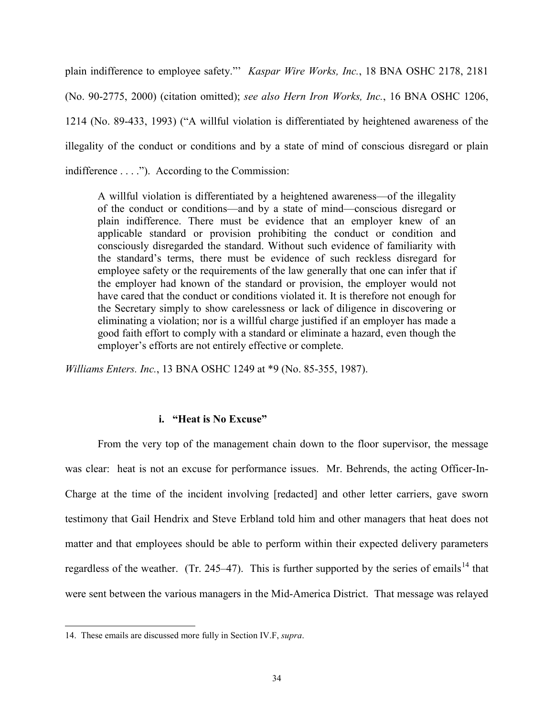plain indifference to employee safety."' *Kaspar Wire Works, Inc.*, 18 BNA OSHC 2178, 2181 (No. 90-2775, 2000) (citation omitted); *see also Hern Iron Works, Inc.*, 16 BNA OSHC 1206, 1214 (No. 89-433, 1993) ("A willful violation is differentiated by heightened awareness of the illegality of the conduct or conditions and by a state of mind of conscious disregard or plain indifference . . . ."). According to the Commission:

A willful violation is differentiated by a heightened awareness—of the illegality of the conduct or conditions—and by a state of mind—conscious disregard or plain indifference. There must be evidence that an employer knew of an applicable standard or provision prohibiting the conduct or condition and consciously disregarded the standard. Without such evidence of familiarity with the standard's terms, there must be evidence of such reckless disregard for employee safety or the requirements of the law generally that one can infer that if the employer had known of the standard or provision, the employer would not have cared that the conduct or conditions violated it. It is therefore not enough for the Secretary simply to show carelessness or lack of diligence in discovering or eliminating a violation; nor is a willful charge justified if an employer has made a good faith effort to comply with a standard or eliminate a hazard, even though the employer's efforts are not entirely effective or complete.

*Williams Enters. Inc.*, 13 BNA OSHC 1249 at \*9 (No. 85-355, 1987).

# **i. "Heat is No Excuse"**

From the very top of the management chain down to the floor supervisor, the message was clear: heat is not an excuse for performance issues. Mr. Behrends, the acting Officer-In-Charge at the time of the incident involving [redacted] and other letter carriers, gave sworn testimony that Gail Hendrix and Steve Erbland told him and other managers that heat does not matter and that employees should be able to perform within their expected delivery parameters regardless of the weather. (Tr. 245–47). This is further supported by the series of emails<sup>[14](#page-33-0)</sup> that were sent between the various managers in the Mid-America District. That message was relayed

 $\overline{a}$ 

<span id="page-33-0"></span><sup>14.</sup> These emails are discussed more fully in Section IV.F, *supra*.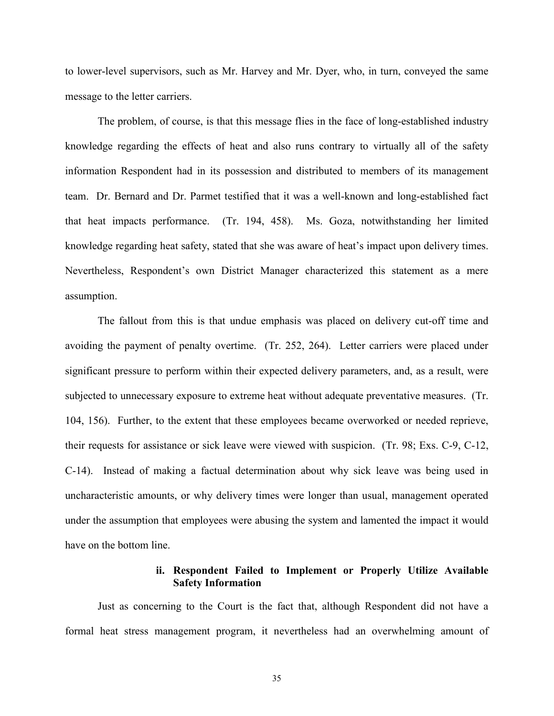to lower-level supervisors, such as Mr. Harvey and Mr. Dyer, who, in turn, conveyed the same message to the letter carriers.

The problem, of course, is that this message flies in the face of long-established industry knowledge regarding the effects of heat and also runs contrary to virtually all of the safety information Respondent had in its possession and distributed to members of its management team. Dr. Bernard and Dr. Parmet testified that it was a well-known and long-established fact that heat impacts performance. (Tr. 194, 458). Ms. Goza, notwithstanding her limited knowledge regarding heat safety, stated that she was aware of heat's impact upon delivery times. Nevertheless, Respondent's own District Manager characterized this statement as a mere assumption.

The fallout from this is that undue emphasis was placed on delivery cut-off time and avoiding the payment of penalty overtime. (Tr. 252, 264). Letter carriers were placed under significant pressure to perform within their expected delivery parameters, and, as a result, were subjected to unnecessary exposure to extreme heat without adequate preventative measures. (Tr. 104, 156). Further, to the extent that these employees became overworked or needed reprieve, their requests for assistance or sick leave were viewed with suspicion. (Tr. 98; Exs. C-9, C-12, C-14). Instead of making a factual determination about why sick leave was being used in uncharacteristic amounts, or why delivery times were longer than usual, management operated under the assumption that employees were abusing the system and lamented the impact it would have on the bottom line.

### **ii. Respondent Failed to Implement or Properly Utilize Available Safety Information**

Just as concerning to the Court is the fact that, although Respondent did not have a formal heat stress management program, it nevertheless had an overwhelming amount of

35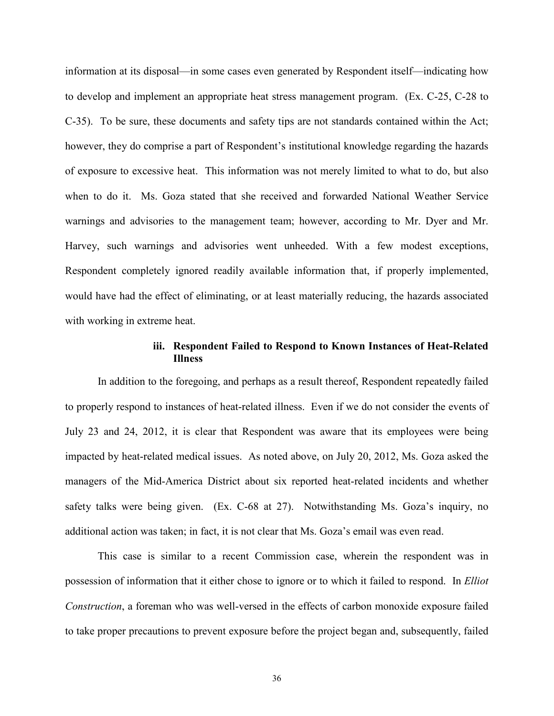information at its disposal—in some cases even generated by Respondent itself—indicating how to develop and implement an appropriate heat stress management program. (Ex. C-25, C-28 to C-35). To be sure, these documents and safety tips are not standards contained within the Act; however, they do comprise a part of Respondent's institutional knowledge regarding the hazards of exposure to excessive heat. This information was not merely limited to what to do, but also when to do it. Ms. Goza stated that she received and forwarded National Weather Service warnings and advisories to the management team; however, according to Mr. Dyer and Mr. Harvey, such warnings and advisories went unheeded. With a few modest exceptions, Respondent completely ignored readily available information that, if properly implemented, would have had the effect of eliminating, or at least materially reducing, the hazards associated with working in extreme heat.

# **iii. Respondent Failed to Respond to Known Instances of Heat-Related Illness**

In addition to the foregoing, and perhaps as a result thereof, Respondent repeatedly failed to properly respond to instances of heat-related illness. Even if we do not consider the events of July 23 and 24, 2012, it is clear that Respondent was aware that its employees were being impacted by heat-related medical issues. As noted above, on July 20, 2012, Ms. Goza asked the managers of the Mid-America District about six reported heat-related incidents and whether safety talks were being given. (Ex. C-68 at 27). Notwithstanding Ms. Goza's inquiry, no additional action was taken; in fact, it is not clear that Ms. Goza's email was even read.

This case is similar to a recent Commission case, wherein the respondent was in possession of information that it either chose to ignore or to which it failed to respond. In *Elliot Construction*, a foreman who was well-versed in the effects of carbon monoxide exposure failed to take proper precautions to prevent exposure before the project began and, subsequently, failed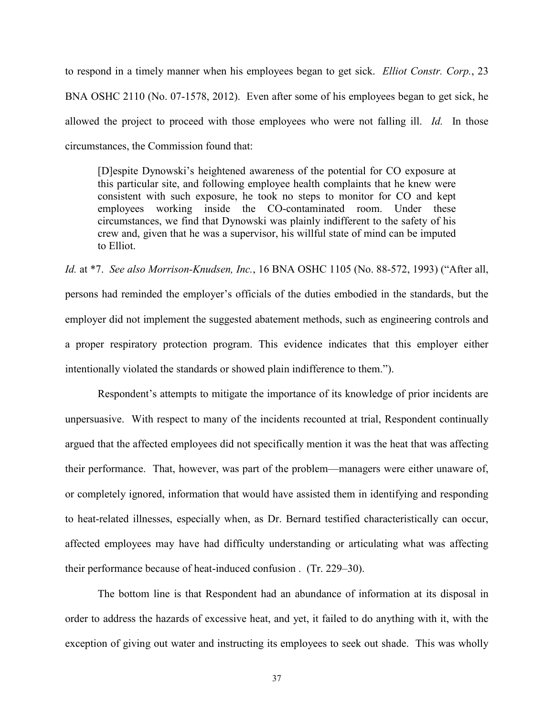to respond in a timely manner when his employees began to get sick. *Elliot Constr. Corp.*, 23 BNA OSHC 2110 (No. 07-1578, 2012). Even after some of his employees began to get sick, he allowed the project to proceed with those employees who were not falling ill. *Id.* In those circumstances, the Commission found that:

[D]espite Dynowski's heightened awareness of the potential for CO exposure at this particular site, and following employee health complaints that he knew were consistent with such exposure, he took no steps to monitor for CO and kept employees working inside the CO-contaminated room. Under these circumstances, we find that Dynowski was plainly indifferent to the safety of his crew and, given that he was a supervisor, his willful state of mind can be imputed to Elliot.

*Id.* at \*7. *See also Morrison-Knudsen, Inc.*, 16 BNA OSHC 1105 (No. 88-572, 1993) ("After all, persons had reminded the employer's officials of the duties embodied in the standards, but the employer did not implement the suggested abatement methods, such as engineering controls and a proper respiratory protection program. This evidence indicates that this employer either intentionally violated the standards or showed plain indifference to them.").

Respondent's attempts to mitigate the importance of its knowledge of prior incidents are unpersuasive. With respect to many of the incidents recounted at trial, Respondent continually argued that the affected employees did not specifically mention it was the heat that was affecting their performance. That, however, was part of the problem—managers were either unaware of, or completely ignored, information that would have assisted them in identifying and responding to heat-related illnesses, especially when, as Dr. Bernard testified characteristically can occur, affected employees may have had difficulty understanding or articulating what was affecting their performance because of heat-induced confusion . (Tr. 229–30).

The bottom line is that Respondent had an abundance of information at its disposal in order to address the hazards of excessive heat, and yet, it failed to do anything with it, with the exception of giving out water and instructing its employees to seek out shade. This was wholly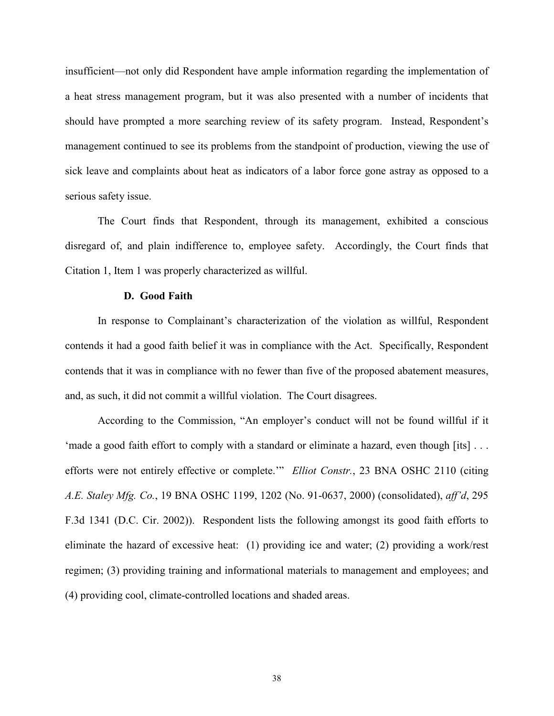insufficient—not only did Respondent have ample information regarding the implementation of a heat stress management program, but it was also presented with a number of incidents that should have prompted a more searching review of its safety program. Instead, Respondent's management continued to see its problems from the standpoint of production, viewing the use of sick leave and complaints about heat as indicators of a labor force gone astray as opposed to a serious safety issue.

The Court finds that Respondent, through its management, exhibited a conscious disregard of, and plain indifference to, employee safety. Accordingly, the Court finds that Citation 1, Item 1 was properly characterized as willful.

#### **D. Good Faith**

In response to Complainant's characterization of the violation as willful, Respondent contends it had a good faith belief it was in compliance with the Act. Specifically, Respondent contends that it was in compliance with no fewer than five of the proposed abatement measures, and, as such, it did not commit a willful violation. The Court disagrees.

According to the Commission, "An employer's conduct will not be found willful if it 'made a good faith effort to comply with a standard or eliminate a hazard, even though [its] . . . efforts were not entirely effective or complete.'" *Elliot Constr.*, 23 BNA OSHC 2110 (citing *A.E. Staley Mfg. Co.*, 19 BNA OSHC 1199, 1202 (No. 91-0637, 2000) (consolidated), *aff'd*, 295 F.3d 1341 (D.C. Cir. 2002)). Respondent lists the following amongst its good faith efforts to eliminate the hazard of excessive heat: (1) providing ice and water; (2) providing a work/rest regimen; (3) providing training and informational materials to management and employees; and (4) providing cool, climate-controlled locations and shaded areas.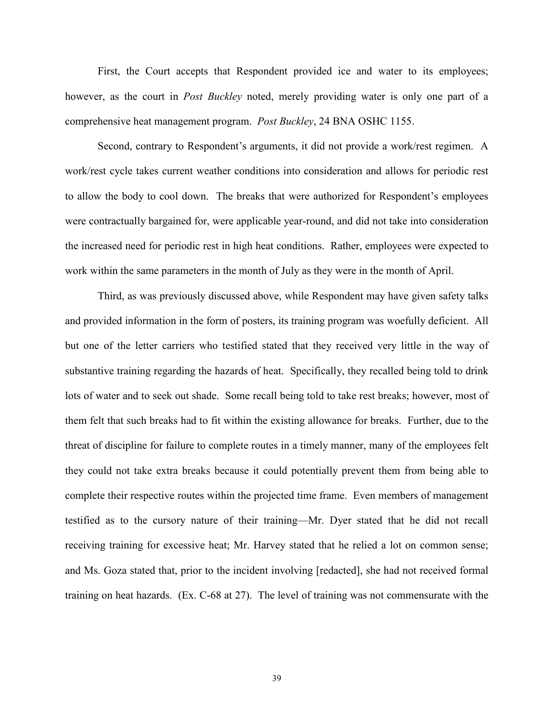First, the Court accepts that Respondent provided ice and water to its employees; however, as the court in *Post Buckley* noted, merely providing water is only one part of a comprehensive heat management program. *Post Buckley*, 24 BNA OSHC 1155.

Second, contrary to Respondent's arguments, it did not provide a work/rest regimen. A work/rest cycle takes current weather conditions into consideration and allows for periodic rest to allow the body to cool down. The breaks that were authorized for Respondent's employees were contractually bargained for, were applicable year-round, and did not take into consideration the increased need for periodic rest in high heat conditions. Rather, employees were expected to work within the same parameters in the month of July as they were in the month of April.

Third, as was previously discussed above, while Respondent may have given safety talks and provided information in the form of posters, its training program was woefully deficient. All but one of the letter carriers who testified stated that they received very little in the way of substantive training regarding the hazards of heat. Specifically, they recalled being told to drink lots of water and to seek out shade. Some recall being told to take rest breaks; however, most of them felt that such breaks had to fit within the existing allowance for breaks. Further, due to the threat of discipline for failure to complete routes in a timely manner, many of the employees felt they could not take extra breaks because it could potentially prevent them from being able to complete their respective routes within the projected time frame. Even members of management testified as to the cursory nature of their training—Mr. Dyer stated that he did not recall receiving training for excessive heat; Mr. Harvey stated that he relied a lot on common sense; and Ms. Goza stated that, prior to the incident involving [redacted], she had not received formal training on heat hazards. (Ex. C-68 at 27). The level of training was not commensurate with the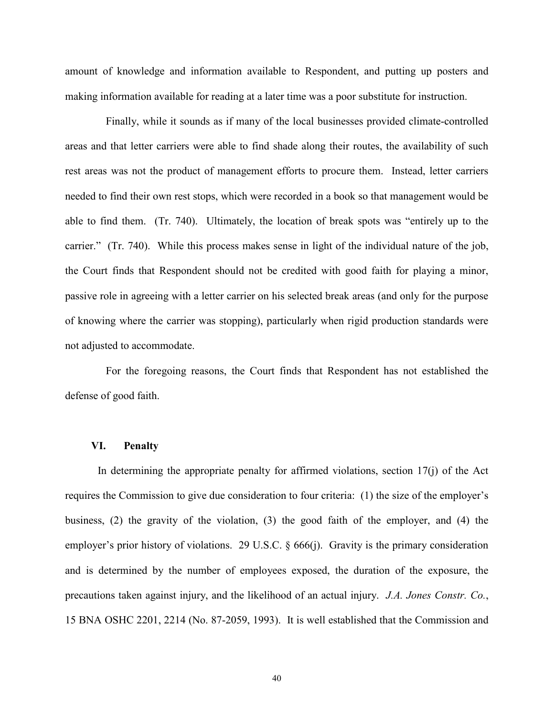amount of knowledge and information available to Respondent, and putting up posters and making information available for reading at a later time was a poor substitute for instruction.

Finally, while it sounds as if many of the local businesses provided climate-controlled areas and that letter carriers were able to find shade along their routes, the availability of such rest areas was not the product of management efforts to procure them. Instead, letter carriers needed to find their own rest stops, which were recorded in a book so that management would be able to find them. (Tr. 740). Ultimately, the location of break spots was "entirely up to the carrier." (Tr. 740). While this process makes sense in light of the individual nature of the job, the Court finds that Respondent should not be credited with good faith for playing a minor, passive role in agreeing with a letter carrier on his selected break areas (and only for the purpose of knowing where the carrier was stopping), particularly when rigid production standards were not adjusted to accommodate.

For the foregoing reasons, the Court finds that Respondent has not established the defense of good faith.

#### **VI. Penalty**

In determining the appropriate penalty for affirmed violations, section  $17(i)$  of the Act requires the Commission to give due consideration to four criteria: (1) the size of the employer's business, (2) the gravity of the violation, (3) the good faith of the employer, and (4) the employer's prior history of violations. 29 U.S.C. § 666(j). Gravity is the primary consideration and is determined by the number of employees exposed, the duration of the exposure, the precautions taken against injury, and the likelihood of an actual injury. *J.A. Jones Constr. Co.*, 15 BNA OSHC 2201, 2214 (No. 87-2059, 1993). It is well established that the Commission and

40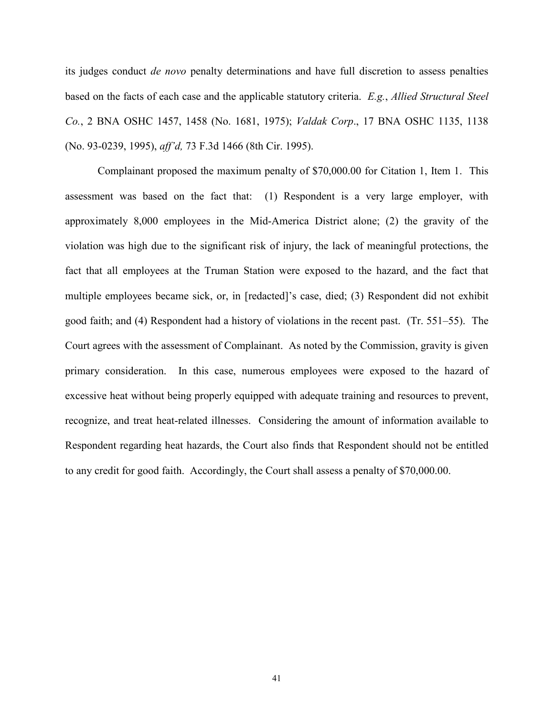its judges conduct *de novo* penalty determinations and have full discretion to assess penalties based on the facts of each case and the applicable statutory criteria. *E.g.*, *Allied Structural Steel Co.*, 2 BNA OSHC 1457, 1458 (No. 1681, 1975); *Valdak Corp*., 17 BNA OSHC 1135, 1138 (No. 93-0239, 1995), *aff'd,* 73 F.3d 1466 (8th Cir. 1995).

Complainant proposed the maximum penalty of \$70,000.00 for Citation 1, Item 1. This assessment was based on the fact that: (1) Respondent is a very large employer, with approximately 8,000 employees in the Mid-America District alone; (2) the gravity of the violation was high due to the significant risk of injury, the lack of meaningful protections, the fact that all employees at the Truman Station were exposed to the hazard, and the fact that multiple employees became sick, or, in [redacted]'s case, died; (3) Respondent did not exhibit good faith; and (4) Respondent had a history of violations in the recent past. (Tr. 551–55). The Court agrees with the assessment of Complainant. As noted by the Commission, gravity is given primary consideration. In this case, numerous employees were exposed to the hazard of excessive heat without being properly equipped with adequate training and resources to prevent, recognize, and treat heat-related illnesses. Considering the amount of information available to Respondent regarding heat hazards, the Court also finds that Respondent should not be entitled to any credit for good faith. Accordingly, the Court shall assess a penalty of \$70,000.00.